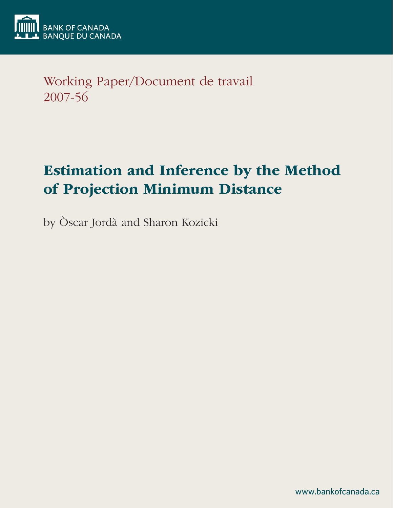

Working Paper/Document de travail 2007-56

# Estimation and Inference by the Method of Projection Minimum Distance

by Òscar Jordà and Sharon Kozicki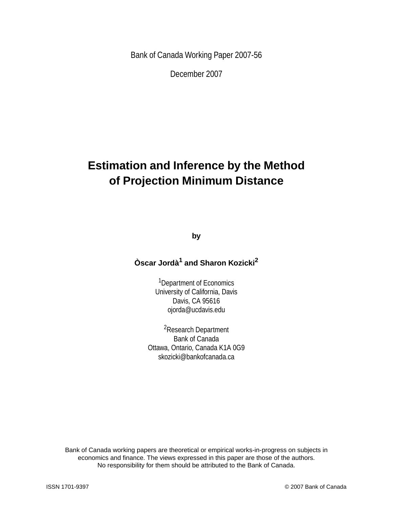Bank of Canada Working Paper 2007-56

December 2007

## **Estimation and Inference by the Method of Projection Minimum Distance**

**by**

## **Òscar Jordà1 and Sharon Kozicki<sup>2</sup>**

1Department of Economics University of California, Davis Davis, CA 95616 ojorda@ucdavis.edu

2Research Department Bank of Canada Ottawa, Ontario, Canada K1A 0G9 skozicki@bankofcanada.ca

Bank of Canada working papers are theoretical or empirical works-in-progress on subjects in economics and finance. The views expressed in this paper are those of the authors. No responsibility for them should be attributed to the Bank of Canada.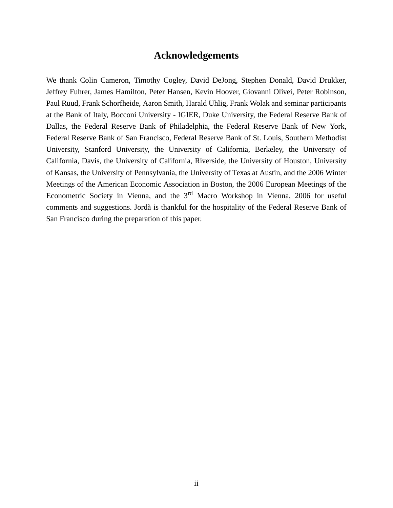## **Acknowledgements**

We thank Colin Cameron, Timothy Cogley, David DeJong, Stephen Donald, David Drukker, Jeffrey Fuhrer, James Hamilton, Peter Hansen, Kevin Hoover, Giovanni Olivei, Peter Robinson, Paul Ruud, Frank Schorfheide, Aaron Smith, Harald Uhlig, Frank Wolak and seminar participants at the Bank of Italy, Bocconi University - IGIER, Duke University, the Federal Reserve Bank of Dallas, the Federal Reserve Bank of Philadelphia, the Federal Reserve Bank of New York, Federal Reserve Bank of San Francisco, Federal Reserve Bank of St. Louis, Southern Methodist University, Stanford University, the University of California, Berkeley, the University of California, Davis, the University of California, Riverside, the University of Houston, University of Kansas, the University of Pennsylvania, the University of Texas at Austin, and the 2006 Winter Meetings of the American Economic Association in Boston, the 2006 European Meetings of the Econometric Society in Vienna, and the 3<sup>rd</sup> Macro Workshop in Vienna, 2006 for useful comments and suggestions. Jordà is thankful for the hospitality of the Federal Reserve Bank of San Francisco during the preparation of this paper.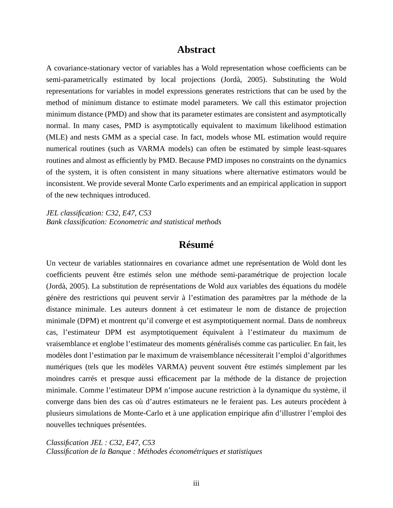## **Abstract**

A covariance-stationary vector of variables has a Wold representation whose coefficients can be semi-parametrically estimated by local projections (Jordà, 2005). Substituting the Wold representations for variables in model expressions generates restrictions that can be used by the method of minimum distance to estimate model parameters. We call this estimator projection minimum distance (PMD) and show that its parameter estimates are consistent and asymptotically normal. In many cases, PMD is asymptotically equivalent to maximum likelihood estimation (MLE) and nests GMM as a special case. In fact, models whose ML estimation would require numerical routines (such as VARMA models) can often be estimated by simple least-squares routines and almost as efficiently by PMD. Because PMD imposes no constraints on the dynamics of the system, it is often consistent in many situations where alternative estimators would be inconsistent. We provide several Monte Carlo experiments and an empirical application in support of the new techniques introduced.

*JEL classification: C32, E47, C53 Bank classification: Econometric and statistical methods*

## **Résumé**

Un vecteur de variables stationnaires en covariance admet une représentation de Wold dont les coefficients peuvent être estimés selon une méthode semi-paramétrique de projection locale (Jordà, 2005). La substitution de représentations de Wold aux variables des équations du modèle génère des restrictions qui peuvent servir à l'estimation des paramètres par la méthode de la distance minimale. Les auteurs donnent à cet estimateur le nom de distance de projection minimale (DPM) et montrent qu'il converge et est asymptotiquement normal. Dans de nombreux cas, l'estimateur DPM est asymptotiquement équivalent à l'estimateur du maximum de vraisemblance et englobe l'estimateur des moments généralisés comme cas particulier. En fait, les modèles dont l'estimation par le maximum de vraisemblance nécessiterait l'emploi d'algorithmes numériques (tels que les modèles VARMA) peuvent souvent être estimés simplement par les moindres carrés et presque aussi efficacement par la méthode de la distance de projection minimale. Comme l'estimateur DPM n'impose aucune restriction à la dynamique du système, il converge dans bien des cas où d'autres estimateurs ne le feraient pas. Les auteurs procèdent à plusieurs simulations de Monte-Carlo et à une application empirique afin d'illustrer l'emploi des nouvelles techniques présentées.

*Classification JEL : C32, E47, C53 Classification de la Banque : Méthodes économétriques et statistiques*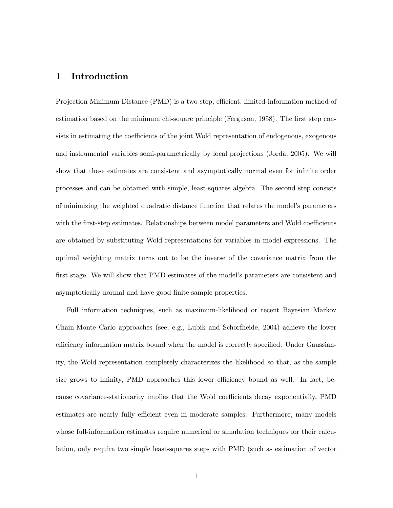#### 1 Introduction

Projection Minimum Distance (PMD) is a two-step, efficient, limited-information method of estimation based on the minimum chi-square principle (Ferguson, 1958). The first step consists in estimating the coefficients of the joint Wold representation of endogenous, exogenous and instrumental variables semi-parametrically by local projections (Jordà, 2005). We will show that these estimates are consistent and asymptotically normal even for infinite order processes and can be obtained with simple, least-squares algebra. The second step consists of minimizing the weighted quadratic distance function that relates the model's parameters with the first-step estimates. Relationships between model parameters and Wold coefficients are obtained by substituting Wold representations for variables in model expressions. The optimal weighting matrix turns out to be the inverse of the covariance matrix from the first stage. We will show that PMD estimates of the model's parameters are consistent and asymptotically normal and have good finite sample properties.

Full information techniques, such as maximum-likelihood or recent Bayesian Markov Chain-Monte Carlo approaches (see, e.g., Lubik and Schorfheide, 2004) achieve the lower efficiency information matrix bound when the model is correctly specified. Under Gaussianity, the Wold representation completely characterizes the likelihood so that, as the sample size grows to infinity, PMD approaches this lower efficiency bound as well. In fact, because covariance-stationarity implies that the Wold coefficients decay exponentially, PMD estimates are nearly fully efficient even in moderate samples. Furthermore, many models whose full-information estimates require numerical or simulation techniques for their calculation, only require two simple least-squares steps with PMD (such as estimation of vector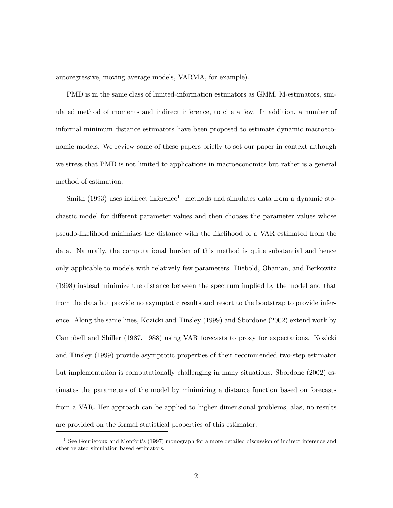autoregressive, moving average models, VARMA, for example).

PMD is in the same class of limited-information estimators as GMM, M-estimators, simulated method of moments and indirect inference, to cite a few. In addition, a number of informal minimum distance estimators have been proposed to estimate dynamic macroeconomic models. We review some of these papers briefly to set our paper in context although we stress that PMD is not limited to applications in macroeconomics but rather is a general method of estimation.

Smith  $(1993)$  uses indirect inference<sup>1</sup> methods and simulates data from a dynamic stochastic model for different parameter values and then chooses the parameter values whose pseudo-likelihood minimizes the distance with the likelihood of a VAR estimated from the data. Naturally, the computational burden of this method is quite substantial and hence only applicable to models with relatively few parameters. Diebold, Ohanian, and Berkowitz (1998) instead minimize the distance between the spectrum implied by the model and that from the data but provide no asymptotic results and resort to the bootstrap to provide inference. Along the same lines, Kozicki and Tinsley (1999) and Sbordone (2002) extend work by Campbell and Shiller (1987, 1988) using VAR forecasts to proxy for expectations. Kozicki and Tinsley (1999) provide asymptotic properties of their recommended two-step estimator but implementation is computationally challenging in many situations. Sbordone (2002) estimates the parameters of the model by minimizing a distance function based on forecasts from a VAR. Her approach can be applied to higher dimensional problems, alas, no results are provided on the formal statistical properties of this estimator.

<sup>&</sup>lt;sup>1</sup> See Gourieroux and Monfort's (1997) monograph for a more detailed discussion of indirect inference and other related simulation based estimators.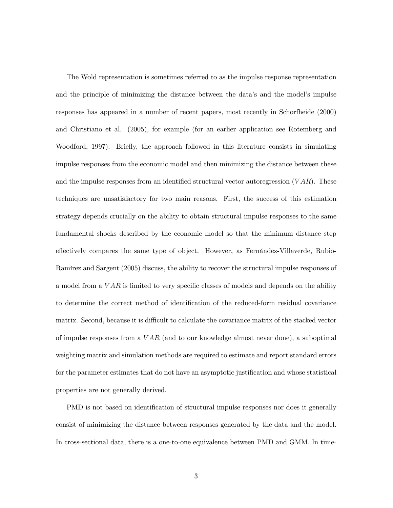The Wold representation is sometimes referred to as the impulse response representation and the principle of minimizing the distance between the data's and the model's impulse responses has appeared in a number of recent papers, most recently in Schorfheide (2000) and Christiano et al. (2005), for example (for an earlier application see Rotemberg and Woodford, 1997). Briefly, the approach followed in this literature consists in simulating impulse responses from the economic model and then minimizing the distance between these and the impulse responses from an identified structural vector autoregression  $(VAR)$ . These techniques are unsatisfactory for two main reasons. First, the success of this estimation strategy depends crucially on the ability to obtain structural impulse responses to the same fundamental shocks described by the economic model so that the minimum distance step effectively compares the same type of object. However, as Fernández-Villaverde, Rubio-Ramírez and Sargent (2005) discuss, the ability to recover the structural impulse responses of a model from a  $VAR$  is limited to very specific classes of models and depends on the ability to determine the correct method of identification of the reduced-form residual covariance matrix. Second, because it is difficult to calculate the covariance matrix of the stacked vector of impulse responses from a  $VAR$  (and to our knowledge almost never done), a suboptimal weighting matrix and simulation methods are required to estimate and report standard errors for the parameter estimates that do not have an asymptotic justification and whose statistical properties are not generally derived.

PMD is not based on identification of structural impulse responses nor does it generally consist of minimizing the distance between responses generated by the data and the model. In cross-sectional data, there is a one-to-one equivalence between PMD and GMM. In time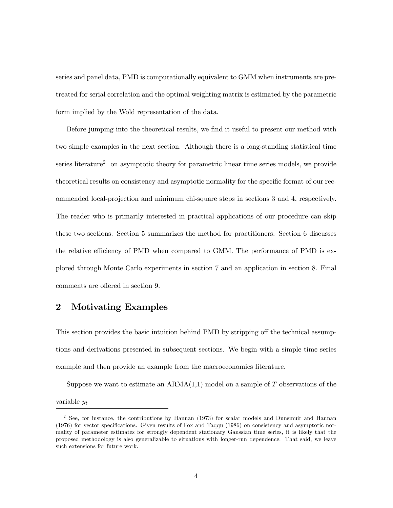series and panel data, PMD is computationally equivalent to GMM when instruments are pretreated for serial correlation and the optimal weighting matrix is estimated by the parametric form implied by the Wold representation of the data.

Before jumping into the theoretical results, we find it useful to present our method with two simple examples in the next section. Although there is a long-standing statistical time series literature<sup>2</sup> on asymptotic theory for parametric linear time series models, we provide theoretical results on consistency and asymptotic normality for the specific format of our recommended local-projection and minimum chi-square steps in sections 3 and 4, respectively. The reader who is primarily interested in practical applications of our procedure can skip these two sections. Section 5 summarizes the method for practitioners. Section 6 discusses the relative efficiency of PMD when compared to GMM. The performance of PMD is explored through Monte Carlo experiments in section 7 and an application in section 8. Final comments are offered in section 9.

## 2 Motivating Examples

This section provides the basic intuition behind PMD by stripping off the technical assumptions and derivations presented in subsequent sections. We begin with a simple time series example and then provide an example from the macroeconomics literature.

Suppose we want to estimate an  $ARMA(1,1)$  model on a sample of T observations of the variable y<sup>t</sup>

<sup>&</sup>lt;sup>2</sup> See, for instance, the contributions by Hannan (1973) for scalar models and Dunsmuir and Hannan (1976) for vector specifications. Given results of Fox and Taqqu (1986) on consistency and asymptotic normality of parameter estimates for strongly dependent stationary Gaussian time series, it is likely that the proposed methodology is also generalizable to situations with longer-run dependence. That said, we leave such extensions for future work.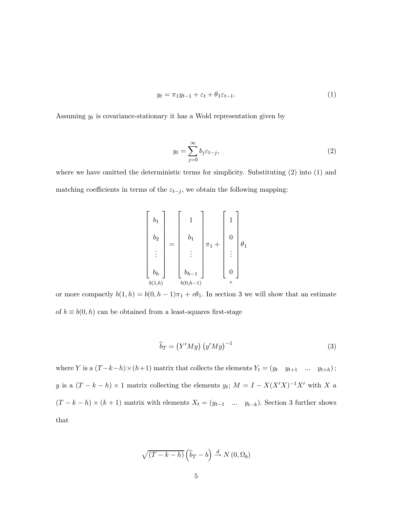$$
y_t = \pi_1 y_{t-1} + \varepsilon_t + \theta_1 \varepsilon_{t-1}.
$$
\n<sup>(1)</sup>

Assuming  $y_t$  is covariance-stationary it has a Wold representation given by

$$
y_t = \sum_{j=0}^{\infty} b_j \varepsilon_{t-j},\tag{2}
$$

where we have omitted the deterministic terms for simplicity. Substituting (2) into (1) and matching coefficients in terms of the  $\varepsilon_{t-j}$ , we obtain the following mapping:

$$
\begin{bmatrix} b_1 \\ b_2 \\ \vdots \\ b_h \end{bmatrix} = \begin{bmatrix} 1 \\ b_1 \\ \vdots \\ b_{h-1} \end{bmatrix} \pi_1 + \begin{bmatrix} 1 \\ 0 \\ \vdots \\ 0 \end{bmatrix} \theta_1
$$

$$
\vdots \vdots \vdots \vdots \vdots \vdots
$$

$$
b_{(1,h)} \qquad b_{(0,h-1)}
$$

or more compactly  $b(1, h) = b(0, h - 1)\pi_1 + e\theta_1$ . In section 3 we will show that an estimate of  $b \equiv b(0, h)$  can be obtained from a least-squares first-stage

$$
\widehat{b}_T = \left(Y'My\right) \left(y'My\right)^{-1} \tag{3}
$$

where Y is a  $(T-k-h)\times(h+1)$  matrix that collects the elements  $Y_t = (y_t \quad y_{t+1} \quad \dots \quad y_{t+h})$ ; y is a  $(T - k - h) \times 1$  matrix collecting the elements  $y_t$ ;  $M = I - X(X'X)^{-1}X'$  with X a  $(T - k - h) \times (k + 1)$  matrix with elements  $X_t = (y_{t-1} \dots y_{t-k})$ . Section 3 further shows that

$$
\sqrt{(T-k-h)}\left(\widehat{b}_T-b\right) \stackrel{d}{\to} N(0,\Omega_b)
$$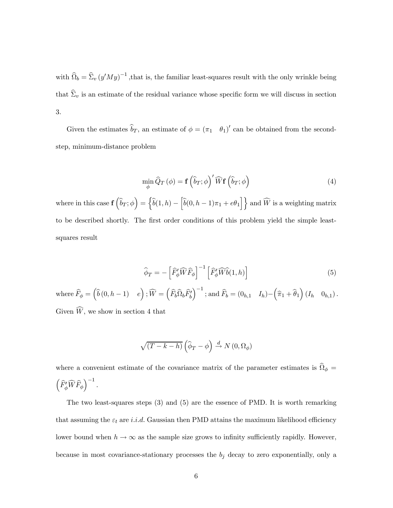with  $\widehat{\Omega}_b = \widehat{\Sigma}_v (y'My)^{-1}$ , that is, the familiar least-squares result with the only wrinkle being that  $\hat{\Sigma}_v$  is an estimate of the residual variance whose specific form we will discuss in section 3.

Given the estimates  $b_T$ , an estimate of  $\phi = (\pi_1 \quad \theta_1)'$  can be obtained from the secondstep, minimum-distance problem

$$
\min_{\phi} \widehat{Q}_T(\phi) = \mathbf{f} \left( \widehat{b}_T; \phi \right)' \widehat{W} \mathbf{f} \left( \widehat{b}_T; \phi \right) \tag{4}
$$

where in this case  $\mathbf{f} \left( \widehat{b}_T; \phi \right) = \left\{ \widehat{b}(1, h) - \left[ \widehat{b}(0, h-1)\pi_1 + e\theta_1 \right] \right\}$  and  $\widehat{W}$  is a weighting matrix to be described shortly. The first order conditions of this problem yield the simple leastsquares result

$$
\widehat{\phi}_T = -\left[\widehat{F}'_{\phi}\widehat{W}\widehat{F}_{\phi}\right]^{-1}\left[\widehat{F}'_{\phi}\widehat{W}\widehat{b}(1,h)\right]
$$
\n(5)

where  $\widehat{F}_\phi = \begin{pmatrix} \widehat{b} \,(0,h-1) & e \end{pmatrix}$ ;  $\widehat{W} = \begin{pmatrix} \widehat{F}_b \widehat{\Omega}_b \widehat{F}_b^\prime \end{pmatrix}$  $\int^{-1}$ ; and  $\widehat{F}_b = (0_{h,1} \quad I_h) - (\widehat{\pi}_1 + \widehat{\theta}_1) (I_h \quad 0_{h,1}).$ Given  $W$ , we show in section 4 that

$$
\sqrt{(T-k-h)}\left(\widehat{\phi}_T-\phi\right)\xrightarrow{d} N\left(0,\Omega_\phi\right)
$$

where a convenient estimate of the covariance matrix of the parameter estimates is  $\widehat{\Omega}_{\phi} =$  $\left(\widehat{F}_{\phi}'\widehat{W}\widehat{F}_{\phi}\right)^{-1}$ .

The two least-squares steps (3) and (5) are the essence of PMD. It is worth remarking that assuming the  $\varepsilon_t$  are i.i.d. Gaussian then PMD attains the maximum likelihood efficiency lower bound when  $h \to \infty$  as the sample size grows to infinity sufficiently rapidly. However, because in most covariance-stationary processes the  $b_j$  decay to zero exponentially, only a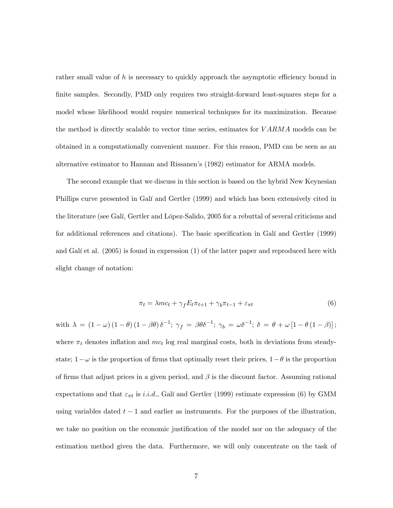rather small value of  $h$  is necessary to quickly approach the asymptotic efficiency bound in finite samples. Secondly, PMD only requires two straight-forward least-squares steps for a model whose likelihood would require numerical techniques for its maximization. Because the method is directly scalable to vector time series, estimates for  $VARMA$  models can be obtained in a computationally convenient manner. For this reason, PMD can be seen as an alternative estimator to Hannan and Rissanen's (1982) estimator for ARMA models.

The second example that we discuss in this section is based on the hybrid New Keynesian Phillips curve presented in Galí and Gertler (1999) and which has been extensively cited in the literature (see Galí, Gertler and López-Salido, 2005 for a rebuttal of several criticisms and for additional references and citations). The basic specification in Galí and Gertler (1999) and Galí et al. (2005) is found in expression (1) of the latter paper and reproduced here with slight change of notation:

$$
\pi_t = \lambda mc_t + \gamma_f E_t \pi_{t+1} + \gamma_b \pi_{t-1} + \varepsilon_{\pi t} \tag{6}
$$

with  $\lambda = (1 - \omega) (1 - \theta) (1 - \beta \theta) \delta^{-1}; \gamma_f = \beta \theta \delta^{-1}; \gamma_b = \omega \delta^{-1}; \delta = \theta + \omega [1 - \theta (1 - \beta)];$ where  $\pi_t$  denotes inflation and  $mc_t$  log real marginal costs, both in deviations from steadystate;  $1-\omega$  is the proportion of firms that optimally reset their prices,  $1-\theta$  is the proportion of firms that adjust prices in a given period, and  $\beta$  is the discount factor. Assuming rational expectations and that  $\varepsilon_{\pi t}$  is *i.i.d.*, Galí and Gertler (1999) estimate expression (6) by GMM using variables dated  $t - 1$  and earlier as instruments. For the purposes of the illustration, we take no position on the economic justification of the model nor on the adequacy of the estimation method given the data. Furthermore, we will only concentrate on the task of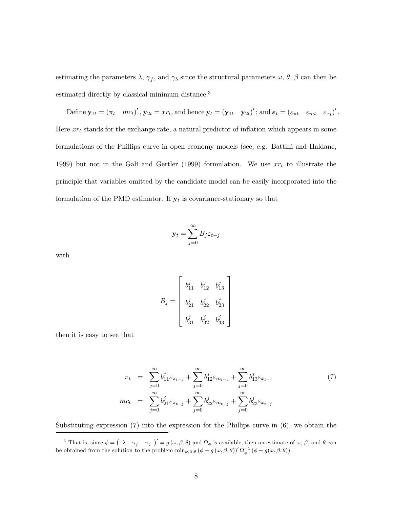estimating the parameters  $\lambda$ ,  $\gamma_f$ , and  $\gamma_b$  since the structural parameters  $\omega$ ,  $\theta$ ,  $\beta$  can then be estimated directly by classical minimum distance.3

Define  $\mathbf{y}_{1t} = (\pi_t \quad mc_t)'$ ,  $\mathbf{y}_{2t} = xr_t$ , and hence  $\mathbf{y}_t = (\mathbf{y}_{1t} \quad \mathbf{y}_{2t})'$ ; and  $\boldsymbol{\varepsilon}_t = (\varepsilon_{\pi t} \quad \varepsilon_{mt} \quad \varepsilon_{x_t})'$ . Here  $xr_t$  stands for the exchange rate, a natural predictor of inflation which appears in some formulations of the Phillips curve in open economy models (see, e.g. Battini and Haldane, 1999) but not in the Galí and Gertler (1999) formulation. We use  $xr<sub>t</sub>$  to illustrate the principle that variables omitted by the candidate model can be easily incorporated into the formulation of the PMD estimator. If  $y_t$  is covariance-stationary so that

$$
\mathbf{y}_t = \sum_{j=0}^\infty B_j \boldsymbol{\varepsilon}_{t-j}
$$

with

$$
B_j=\left[\begin{array}{cccc}b_{11}^j&b_{12}^j&b_{13}^j\\&\\b_{21}^j&b_{22}^j&b_{23}^j\\&&\\b_{31}^j&b_{32}^j&b_{33}^j\end{array}\right]
$$

then it is easy to see that

$$
\pi_t = \sum_{j=0}^{\infty} b_{11}^j \varepsilon_{\pi_{t-j}} + \sum_{j=0}^{\infty} b_{12}^j \varepsilon_{m_{t-j}} + \sum_{j=0}^{\infty} b_{13}^j \varepsilon_{x_{t-j}} \n\tag{7}
$$
\n
$$
mc_t = \sum_{j=0}^{\infty} b_{21}^j \varepsilon_{\pi_{t-j}} + \sum_{j=0}^{\infty} b_{22}^j \varepsilon_{m_{t-j}} + \sum_{j=0}^{\infty} b_{23}^j \varepsilon_{x_{t-j}}
$$

Substituting expression  $(7)$  into the expression for the Phillips curve in  $(6)$ , we obtain the

<sup>&</sup>lt;sup>3</sup> That is, since  $\phi = (\lambda \gamma_f \gamma_b)' = g(\omega, \beta, \theta)$  and  $\Omega_{\phi}$  is available, then an estimate of  $\omega$ ,  $\beta$ , and  $\theta$  can be obtained from the solution to the problem  $\min_{\omega,\beta,\theta} (\phi - g(\omega,\beta,\theta))^{\prime} \Omega_{\phi}^{-1} (\phi - g(\omega,\beta,\theta)).$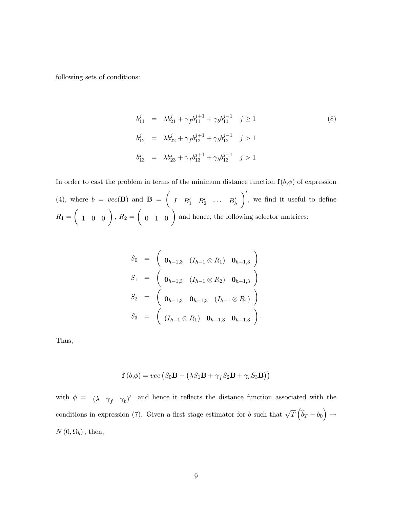following sets of conditions:

$$
b_{11}^{j} = \lambda b_{21}^{j} + \gamma_{f} b_{11}^{j+1} + \gamma_{b} b_{11}^{j-1} \quad j \ge 1
$$
\n
$$
b_{12}^{j} = \lambda b_{22}^{j} + \gamma_{f} b_{12}^{j+1} + \gamma_{b} b_{12}^{j-1} \quad j > 1
$$
\n
$$
b_{13}^{j} = \lambda b_{23}^{j} + \gamma_{f} b_{13}^{j+1} + \gamma_{b} b_{13}^{j-1} \quad j > 1
$$
\n(8)

In order to cast the problem in terms of the minimum distance function  $f(b,\phi)$  of expression (4), where  $b = vec(\mathbf{B})$  and  $\mathbf{B} =$ µ  $I$   $B'_1$   $B'_2$   $\cdots$   $B'_h$  $\setminus'$ , we find it useful to define  $R_1 =$  $\left(\begin{array}{cc} 1 & 0 & 0 \end{array}\right)$ ,  $R_2 =$  $\begin{pmatrix} 0 & 1 & 0 \end{pmatrix}$  and hence, the following selector matrices:

$$
S_0 = \begin{pmatrix} \mathbf{0}_{h-1,3} & (I_{h-1} \otimes R_1) & \mathbf{0}_{h-1,3} \end{pmatrix}
$$
  
\n
$$
S_1 = \begin{pmatrix} \mathbf{0}_{h-1,3} & (I_{h-1} \otimes R_2) & \mathbf{0}_{h-1,3} \end{pmatrix}
$$
  
\n
$$
S_2 = \begin{pmatrix} \mathbf{0}_{h-1,3} & \mathbf{0}_{h-1,3} & (I_{h-1} \otimes R_1) \end{pmatrix}
$$
  
\n
$$
S_3 = \begin{pmatrix} (I_{h-1} \otimes R_1) & \mathbf{0}_{h-1,3} & \mathbf{0}_{h-1,3} \end{pmatrix}.
$$

Thus,

$$
\mathbf{f}\left(b,\phi\right)=vec\left(S_{0}\mathbf{B}-\left(\lambda S_{1}\mathbf{B}+\gamma_{f}S_{2}\mathbf{B}+\gamma_{b}S_{3}\mathbf{B}\right)\right)
$$

with  $\phi = (\lambda \gamma_f \gamma_b)'$  and hence it reflects the distance function associated with the conditions in expression (7). Given a first stage estimator for b such that  $\sqrt{T}(\hat{b}_T - b_0)$  $\rightarrow$  $N(0, \Omega_b)$ , then,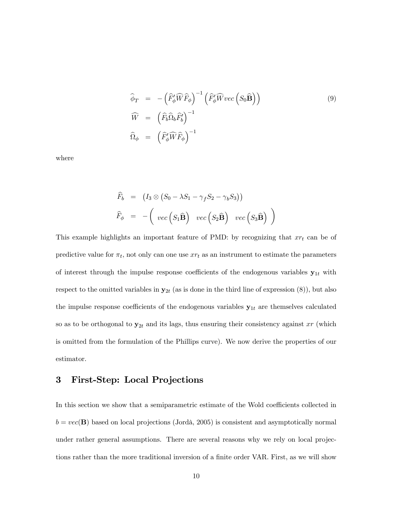$$
\widehat{\phi}_T = -\left(\widehat{F}_{\phi}' \widehat{W} \widehat{F}_{\phi}\right)^{-1} \left(\widehat{F}_{\phi}' \widehat{W} vec\left(S_0 \widehat{\mathbf{B}}\right)\right) \n\widehat{W} = \left(\widehat{F}_{b} \widehat{\Omega}_{b} \widehat{F}_{b}'\right)^{-1} \n\widehat{\Omega}_{\phi} = \left(\widehat{F}_{\phi}' \widehat{W} \widehat{F}_{\phi}\right)^{-1}
$$
\n(9)

where

$$
\widehat{F}_b = (I_3 \otimes (S_0 - \lambda S_1 - \gamma_f S_2 - \gamma_b S_3))
$$
  

$$
\widehat{F}_{\phi} = -\left( vec(S_1 \widehat{B}) vec(S_2 \widehat{B}) vec(S_3 \widehat{B}) \right)
$$

This example highlights an important feature of PMD: by recognizing that  $xr<sub>t</sub>$  can be of predictive value for  $\pi_t$ , not only can one use  $xr_t$  as an instrument to estimate the parameters of interest through the impulse response coefficients of the endogenous variables  $y_{1t}$  with respect to the omitted variables in  $y_{2t}$  (as is done in the third line of expression (8)), but also the impulse response coefficients of the endogenous variables  $y_{1t}$  are themselves calculated so as to be orthogonal to  $y_{2t}$  and its lags, thus ensuring their consistency against xr (which is omitted from the formulation of the Phillips curve). We now derive the properties of our estimator.

## 3 First-Step: Local Projections

In this section we show that a semiparametric estimate of the Wold coefficients collected in  $b = vec(B)$  based on local projections (Jordà, 2005) is consistent and asymptotically normal under rather general assumptions. There are several reasons why we rely on local projections rather than the more traditional inversion of a finite order VAR. First, as we will show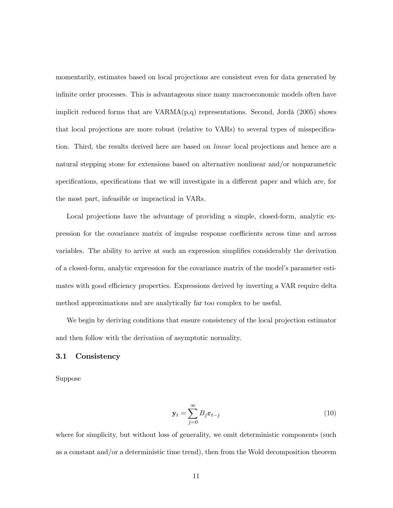momentarily, estimates based on local projections are consistent even for data generated by infinite order processes. This is advantageous since many macroeconomic models often have implicit reduced forms that are  $VARMA(p,q)$  representations. Second, Jordà (2005) shows that local projections are more robust (relative to VARs) to several types of misspecification. Third, the results derived here are based on linear local projections and hence are a natural stepping stone for extensions based on alternative nonlinear and/or nonparametric specifications, specifications that we will investigate in a different paper and which are, for the most part, infeasible or impractical in VARs.

Local projections have the advantage of providing a simple, closed-form, analytic expression for the covariance matrix of impulse response coefficients across time and across variables. The ability to arrive at such an expression simplifies considerably the derivation of a closed-form, analytic expression for the covariance matrix of the model's parameter estimates with good efficiency properties. Expressions derived by inverting a VAR require delta method approximations and are analytically far too complex to be useful.

We begin by deriving conditions that ensure consistency of the local projection estimator and then follow with the derivation of asymptotic normality.

#### 3.1 Consistency

Suppose

$$
\mathbf{y}_t = \sum_{j=0}^{\infty} B_j \boldsymbol{\varepsilon}_{t-j} \tag{10}
$$

where for simplicity, but without loss of generality, we omit deterministic components (such as a constant and/or a deterministic time trend), then from the Wold decomposition theorem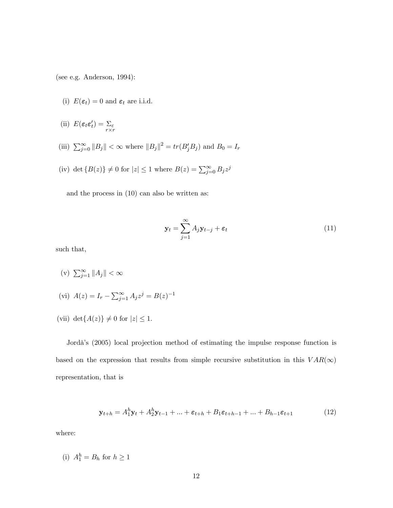(see e.g. Anderson, 1994):

- (i)  $E(\varepsilon_t)=0$  and  $\varepsilon_t$  are i.i.d.
- (ii)  $E(\varepsilon_t \varepsilon_t') = \sum_{r \times r}$
- (iii)  $\sum_{j=0}^{\infty} ||B_j|| < \infty$  where  $||B_j||^2 = tr(B_j'B_j)$  and  $B_0 = I_r$
- (iv) det  $\{B(z)\}\neq 0$  for  $|z|\leq 1$  where  $B(z)=\sum_{j=0}^{\infty}B_jz^j$

and the process in (10) can also be written as:

$$
\mathbf{y}_t = \sum_{j=1}^{\infty} A_j \mathbf{y}_{t-j} + \boldsymbol{\varepsilon}_t \tag{11}
$$

such that,

- (v)  $\sum_{j=1}^{\infty} ||A_j|| < \infty$
- (vi)  $A(z) = I_r \sum_{j=1}^{\infty} A_j z^j = B(z)^{-1}$
- (vii) det $\{A(z)\}\neq 0$  for  $|z|\leq 1$ .

Jordà's (2005) local projection method of estimating the impulse response function is based on the expression that results from simple recursive substitution in this  $VAR(\infty)$ representation, that is

$$
\mathbf{y}_{t+h} = A_1^h \mathbf{y}_t + A_2^h \mathbf{y}_{t-1} + \ldots + \varepsilon_{t+h} + B_1 \varepsilon_{t+h-1} + \ldots + B_{h-1} \varepsilon_{t+1} \tag{12}
$$

where:

(i) 
$$
A_1^h = B_h
$$
 for  $h \ge 1$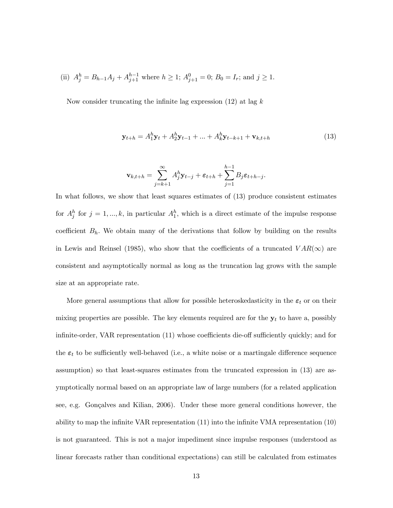(ii) 
$$
A_j^h = B_{h-1}A_j + A_{j+1}^{h-1}
$$
 where  $h \ge 1$ ;  $A_{j+1}^0 = 0$ ;  $B_0 = I_r$ ; and  $j \ge 1$ .

Now consider truncating the infinite lag expression  $(12)$  at lag k

$$
\mathbf{y}_{t+h} = A_1^h \mathbf{y}_t + A_2^h \mathbf{y}_{t-1} + \ldots + A_k^h \mathbf{y}_{t-k+1} + \mathbf{v}_{k,t+h}
$$
(13)

$$
\mathbf{v}_{k,t+h} = \sum_{j=k+1}^{\infty} A_j^h \mathbf{y}_{t-j} + \varepsilon_{t+h} + \sum_{j=1}^{h-1} B_j \varepsilon_{t+h-j}.
$$

In what follows, we show that least squares estimates of (13) produce consistent estimates for  $A_j^h$  for  $j = 1, ..., k$ , in particular  $A_1^h$ , which is a direct estimate of the impulse response coefficient  $B_h$ . We obtain many of the derivations that follow by building on the results in Lewis and Reinsel (1985), who show that the coefficients of a truncated  $VAR(\infty)$  are consistent and asymptotically normal as long as the truncation lag grows with the sample size at an appropriate rate.

More general assumptions that allow for possible heteroskedasticity in the  $\varepsilon_t$  or on their mixing properties are possible. The key elements required are for the  $y_t$  to have a, possibly infinite-order, VAR representation (11) whose coefficients die-off sufficiently quickly; and for the  $\varepsilon_t$  to be sufficiently well-behaved (i.e., a white noise or a martingale difference sequence assumption) so that least-squares estimates from the truncated expression in (13) are asymptotically normal based on an appropriate law of large numbers (for a related application see, e.g. Gonçalves and Kilian, 2006). Under these more general conditions however, the ability to map the infinite VAR representation (11) into the infinite VMA representation (10) is not guaranteed. This is not a major impediment since impulse responses (understood as linear forecasts rather than conditional expectations) can still be calculated from estimates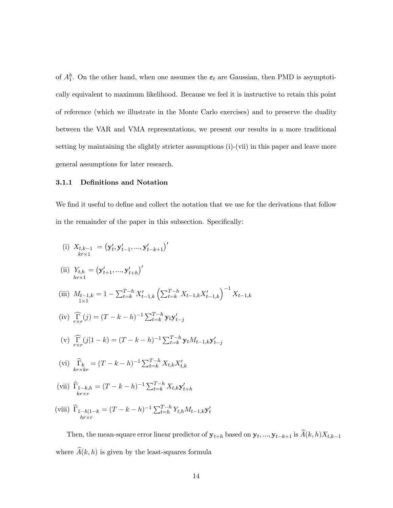of  $A_1^h$ . On the other hand, when one assumes the  $\varepsilon_t$  are Gaussian, then PMD is asymptotically equivalent to maximum likelihood. Because we feel it is instructive to retain this point of reference (which we illustrate in the Monte Carlo exercises) and to preserve the duality between the VAR and VMA representations, we present our results in a more traditional setting by maintaining the slightly stricter assumptions (i)-(vii) in this paper and leave more general assumptions for later research.

#### 3.1.1 Definitions and Notation

We find it useful to define and collect the notation that we use for the derivations that follow in the remainder of the paper in this subsection. Specifically:

(i) 
$$
X_{t,k-1} = (\mathbf{y}'_t, \mathbf{y}'_{t-1}, ..., \mathbf{y}'_{t-k+1})'
$$

(ii) 
$$
Y_{t,h} = (\mathbf{y}'_{t+1}, ..., \mathbf{y}'_{t+h})'
$$

- (iii)  $M_{t-1,k}$  $1\times1$  $= 1 - \sum_{t=k}^{T-h} X'_{t-1,k} \left( \sum_{t=k}^{T-h} X_{t-1,k} X'_{t-1,k} \right)^{-1} X_{t-1,k}$
- (iv)  $\widehat{\Gamma}_{r \times r}(j) = (T k h)^{-1} \sum_{t=k}^{T-h} \mathbf{y}_t \mathbf{y}'_{t-j}$
- (v)  $\widehat{\Gamma}_{r\times r}(j|1-k) = (T-k-h)^{-1} \sum_{t=k}^{T-h} \mathbf{y}_t M_{t-1,k} \mathbf{y}'_{t-j}$
- (vi)  $\widehat{\Gamma}_{k} = (T k h)^{-1} \sum_{t=k}^{T-h} X_{t,k} X'_{t,k}$
- (vii)  $\Gamma_{1-k,h}$  $kr \times r$  $=(T-k-h)^{-1}\sum_{t=k}^{T-h}X_{t,k}\mathbf{y}'_{t+h}$
- (viii)  $\Gamma_{1-h|1-k}$  $hr \times r$  $=(T-k-h)^{-1}\sum_{t=h}^{T-h}Y_{t,h}M_{t-1,k}\mathbf{y}_{t}^{\prime}$

Then, the mean-square error linear predictor of  $\mathbf{y}_{t+h}$  based on  $\mathbf{y}_t, ..., \mathbf{y}_{t-k+1}$  is  $\widehat{A}(k, h)X_{t,k-1}$ where  $\widehat{A}(k, h)$  is given by the least-squares formula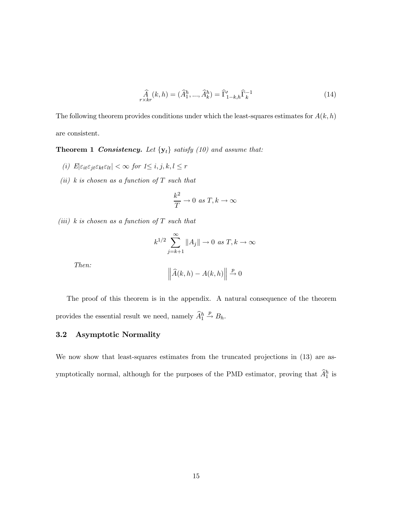$$
\hat{A}_{r \times kr}^{(k, h)} = (\hat{A}_1^h, ..., \hat{A}_k^h) = \hat{\Gamma}_{1-k, h}' \hat{\Gamma}_k^{-1}
$$
\n(14)

The following theorem provides conditions under which the least-squares estimates for  $A(k, h)$ are consistent.

**Theorem 1 Consistency.** Let  $\{y_t\}$  satisfy (10) and assume that:

- (i)  $E|\varepsilon_{it}\varepsilon_{jt}\varepsilon_{kt}\varepsilon_{lt}| < \infty$  for  $1\leq i, j, k, l \leq r$
- (ii) k is chosen as a function of  $T$  such that

$$
\frac{k^2}{T} \to 0 \text{ as } T, k \to \infty
$$

(iii) k is chosen as a function of  $T$  such that

$$
k^{1/2} \sum_{j=k+1}^{\infty} ||A_j|| \to 0 \text{ as } T, k \to \infty
$$

Then:

$$
\left\|\widehat{A}(k,h) - A(k,h)\right\| \stackrel{p}{\to} 0
$$

The proof of this theorem is in the appendix. A natural consequence of the theorem provides the essential result we need, namely  $\widehat{A}_1^h$  $\stackrel{p}{\rightarrow} B_h.$ 

#### 3.2 Asymptotic Normality

We now show that least-squares estimates from the truncated projections in  $(13)$  are asymptotically normal, although for the purposes of the PMD estimator, proving that  $\hat{A}_1^h$  is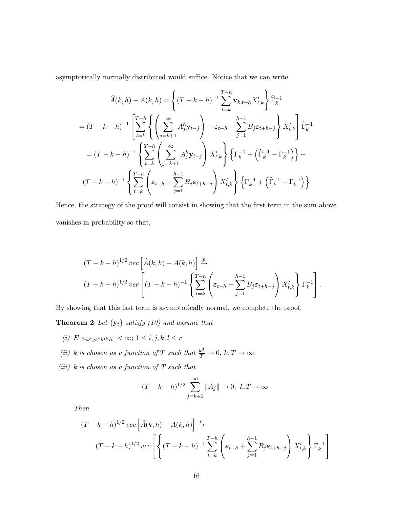asymptotically normally distributed would suffice. Notice that we can write

$$
\widehat{A}(k,h) - A(k,h) = \left\{ (T - k - h)^{-1} \sum_{t=k}^{T-h} \mathbf{v}_{k,t+h} X'_{t,k} \right\} \widehat{\Gamma}_k^{-1}
$$

$$
= (T - k - h)^{-1} \left[ \sum_{t=k}^{T-h} \left\{ \left( \sum_{j=k+1}^{\infty} A_j^h \mathbf{y}_{t-j} \right) + \varepsilon_{t+h} + \sum_{j=1}^{h-1} B_j \varepsilon_{t+h-j} \right\} X'_{t,k} \right] \widehat{\Gamma}_k^{-1}
$$

$$
= (T - k - h)^{-1} \left\{ \sum_{t=k}^{T-h} \left( \sum_{j=k+1}^{\infty} A_j^h \mathbf{y}_{t-j} \right) X'_{t,k} \right\} \left\{ \Gamma_k^{-1} + \left( \widehat{\Gamma}_k^{-1} - \Gamma_k^{-1} \right) \right\} +
$$

$$
(T - k - h)^{-1} \left\{ \sum_{t=k}^{T-h} \left( \varepsilon_{t+h} + \sum_{j=1}^{h-1} B_j \varepsilon_{t+h-j} \right) X'_{t,k} \right\} \left\{ \Gamma_k^{-1} + \left( \widehat{\Gamma}_k^{-1} - \Gamma_k^{-1} \right) \right\}
$$

Hence, the strategy of the proof will consist in showing that the first term in the sum above vanishes in probability so that,

$$
(T-k-h)^{1/2} \operatorname{vec}\left[\widehat{A}(k,h) - A(k,h)\right] \xrightarrow{p}
$$
  

$$
(T-k-h)^{1/2} \operatorname{vec}\left[(T-k-h)^{-1}\left\{\sum_{t=k}^{T-h} \left(\varepsilon_{t+h} + \sum_{j=1}^{h-1} B_j \varepsilon_{t+h-j}\right) X_{t,k}'\right\} \Gamma_k^{-1}\right].
$$

By showing that this last term is asymptotically normal, we complete the proof.

**Theorem 2** Let  $\{y_t\}$  satisfy (10) and assume that

- (i)  $E\left|\varepsilon_{it}\varepsilon_{jt}\varepsilon_{kt}\varepsilon_{lt}\right| < \infty$ ;  $1\leq i,j,k,l\leq r$
- (ii) k is chosen as a function of T such that  $\frac{k^3}{T} \to 0$ ,  $k, T \to \infty$
- (iii)  $k$  is chosen as a function of  $T$  such that

$$
(T - k - h)^{1/2} \sum_{j=k+1}^{\infty} ||A_j|| \to 0; \ k, T \to \infty
$$

Then

$$
(T-k-h)^{1/2} \, vec\left[\widehat{A}(k,h) - A(k,h)\right] \xrightarrow{p}
$$
\n
$$
(T-k-h)^{1/2} \, vec\left[\left\{(T-k-h)^{-1} \sum_{t=k}^{T-h} \left(\varepsilon_{t+h} + \sum_{j=1}^{h-1} B_j \varepsilon_{t+h-j}\right) X'_{t,k}\right\} \Gamma_k^{-1}\right]
$$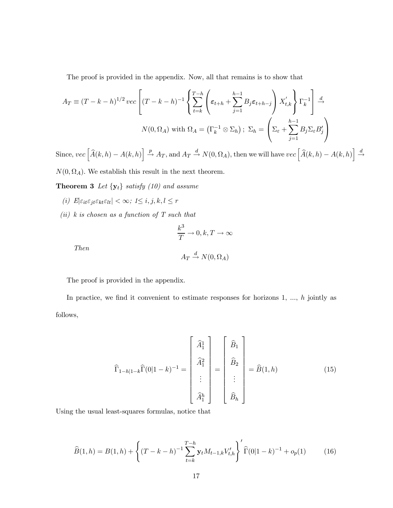The proof is provided in the appendix. Now, all that remains is to show that

$$
A_T \equiv (T - k - h)^{1/2} \, vec \left[ (T - k - h)^{-1} \left\{ \sum_{t=k}^{T-h} \left( \varepsilon_{t+h} + \sum_{j=1}^{h-1} B_j \varepsilon_{t+h-j} \right) X'_{t,k} \right\} \Gamma_k^{-1} \right] \xrightarrow{d}
$$

$$
N(0, \Omega_A) \text{ with } \Omega_A = \left( \Gamma_k^{-1} \otimes \Sigma_h \right); \ \Sigma_h = \left( \Sigma_{\varepsilon} + \sum_{j=1}^{h-1} B_j \Sigma_{\varepsilon} B'_j \right)
$$

Since,  $vec\left[\widehat{A}(k,h) - A(k,h)\right] \stackrel{p}{\rightarrow} A_T$ , and  $A_T \stackrel{d}{\rightarrow} N(0,\Omega_A)$ , then we will have  $vec\left[\widehat{A}(k,h) - A(k,h)\right] \stackrel{d}{\rightarrow}$  $\rightarrow$ 

 $N(0, \Omega_A)$ . We establish this result in the next theorem.

**Theorem 3** Let  $\{y_t\}$  satisfy (10) and assume

- $(i)\ \, E|\varepsilon_{it}\varepsilon_{jt}\varepsilon_{kt}\varepsilon_{lt}|<\infty;\,\,1\le i,j,k,l\le r$
- $(ii)$  k is chosen as a function of T such that

$$
\frac{k^3}{T} \to 0, k, T \to \infty
$$
  

$$
A_T \xrightarrow{d} N(0, \Omega_A)
$$

Then

The proof is provided in the appendix.

In practice, we find it convenient to estimate responses for horizons 1, ..., h jointly as follows,

$$
\widehat{\Gamma}_{1-h|1-k}\widehat{\Gamma}(0|1-k)^{-1} = \begin{bmatrix} \widehat{A}_1^1 \\ \widehat{A}_1^2 \\ \vdots \\ \widehat{A}_1^h \end{bmatrix} = \begin{bmatrix} \widehat{B}_1 \\ \widehat{B}_2 \\ \vdots \\ \widehat{B}_h \end{bmatrix} = \widehat{B}(1,h) \tag{15}
$$

Using the usual least-squares formulas, notice that

$$
\widehat{B}(1,h) = B(1,h) + \left\{ (T - k - h)^{-1} \sum_{t=k}^{T-h} \mathbf{y}_t M_{t-1,k} V'_{t,h} \right\}' \widehat{\Gamma}(0|1-k)^{-1} + o_p(1) \tag{16}
$$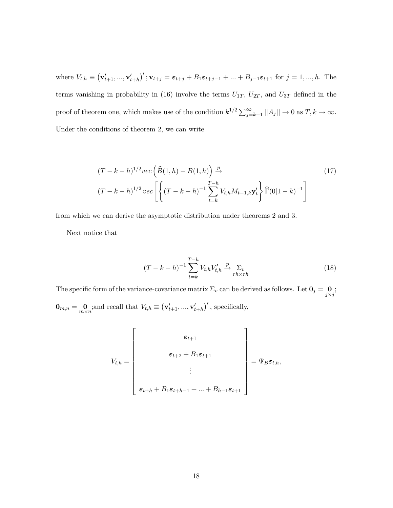where  $V_{t,h} \equiv (\mathbf{v}'_{t+1}, ..., \mathbf{v}'_{t+h})'$ ;  $\mathbf{v}_{t+j} = \epsilon_{t+j} + B_1 \epsilon_{t+j-1} + ... + B_{j-1} \epsilon_{t+1}$  for  $j = 1, ..., h$ . The terms vanishing in probability in (16) involve the terms  $U_{1T}$ ,  $U_{2T}$ , and  $U_{3T}$  defined in the proof of theorem one, which makes use of the condition  $k^{1/2} \sum_{j=k+1}^{\infty} ||A_j|| \to 0$  as  $T, k \to \infty$ . Under the conditions of theorem 2, we can write

$$
(T - k - h)^{1/2} vec\left(\widehat{B}(1, h) - B(1, h)\right) \xrightarrow{T - h} (T - k - h)^{1/2} vec\left[\left\{(T - k - h)^{-1} \sum_{t = k}^{T - h} V_{t, h} M_{t - 1, k} \mathbf{y}'_t\right\} \widehat{\Gamma}(0 | 1 - k)^{-1}\right]
$$
\n
$$
(17)
$$

from which we can derive the asymptotic distribution under theorems 2 and 3.

Next notice that

$$
(T - k - h)^{-1} \sum_{t=k}^{T-h} V_{t,h} V'_{t,h} \xrightarrow{p} \sum_{r h \times r h} (18)
$$

The specific form of the variance-covariance matrix  $\Sigma_v$  can be derived as follows. Let  $\mathbf{0}_j = \begin{bmatrix} 0 \\ 0 \end{bmatrix}$  $j \times j$ ;  $\mathbf{0}_{m,n} = \mathbf{0}_{m \times n}$ ; and recall that  $V_{t,h} \equiv (\mathbf{v}'_{t+1}, ..., \mathbf{v}'_{t+h})'$ , specifically,

$$
V_{t,h} = \begin{bmatrix} \varepsilon_{t+1} \\ \varepsilon_{t+2} + B_1 \varepsilon_{t+1} \\ \vdots \\ \varepsilon_{t+h} + B_1 \varepsilon_{t+h-1} + \dots + B_{h-1} \varepsilon_{t+1} \end{bmatrix} = \Psi_B \varepsilon_{t,h},
$$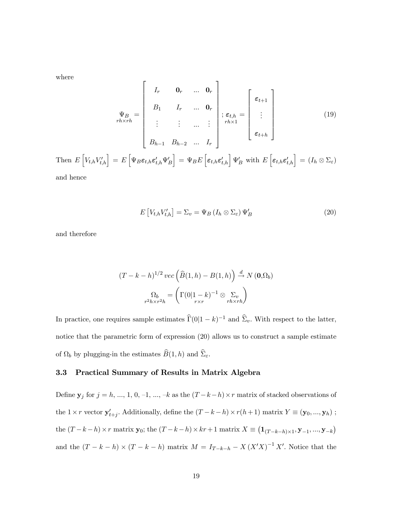where

$$
\Psi_B = \begin{bmatrix} I_r & \mathbf{0}_r & \dots & \mathbf{0}_r \\ B_1 & I_r & \dots & \mathbf{0}_r \\ \vdots & \vdots & \dots & \vdots \\ B_{h-1} & B_{h-2} & \dots & I_r \end{bmatrix}; \epsilon_{t,h} = \begin{bmatrix} \epsilon_{t+1} \\ \vdots \\ \epsilon_{t+h} \end{bmatrix}
$$
\nThen  $E[V_{t,h}V'_{t,h}] = E[\Psi_B \epsilon_{t,h} \epsilon'_{t,h} \Psi'_B] = \Psi_B E[\epsilon_{t,h} \epsilon'_{t,h}] \Psi'_B$  with  $E[\epsilon_{t,h} \epsilon'_{t,h}] = (I_h \otimes \Sigma_{\varepsilon})$ 

and hence

$$
E[V_{t,h}V'_{t,h}] = \Sigma_v = \Psi_B(I_h \otimes \Sigma_\varepsilon) \Psi'_B
$$
\n(20)

and therefore

$$
(T - k - h)^{1/2} \, vec \left( \widehat{B}(1, h) - B(1, h) \right) \xrightarrow{d} N \left( \mathbf{0}, \Omega_b \right)
$$
\n
$$
\Omega_b = \left( \Gamma(0 | 1 - k)^{-1} \otimes \sum_{r \geq h \times r h} \right)
$$

In practice, one requires sample estimates  $\widehat{\Gamma}(0|1 - k)^{-1}$  and  $\widehat{\Sigma}_v$ . With respect to the latter, notice that the parametric form of expression (20) allows us to construct a sample estimate of  $\Omega_b$  by plugging-in the estimates  $\widehat{B}(1, h)$  and  $\widehat{\Sigma}_{\varepsilon}$ .

#### 3.3 Practical Summary of Results in Matrix Algebra

Define  $y_j$  for  $j = h, ..., 1, 0, -1, ..., -k$  as the  $(T - k - h) \times r$  matrix of stacked observations of the  $1 \times r$  vector  $\mathbf{y}'_{t+j}$ . Additionally, define the  $(T - k - h) \times r(h + 1)$  matrix  $Y \equiv (\mathbf{y}_0, ..., \mathbf{y}_h)$ ; the  $(T - k - h) \times r$  matrix  $\mathbf{y}_0$ ; the  $(T - k - h) \times kr + 1$  matrix  $X \equiv (\mathbf{1}_{(T-k-h) \times 1}, \mathbf{y}_{-1}, ..., \mathbf{y}_{-k})$ and the  $(T - k - h) \times (T - k - h)$  matrix  $M = I_{T-k-h} - X (X'X)^{-1} X'$ . Notice that the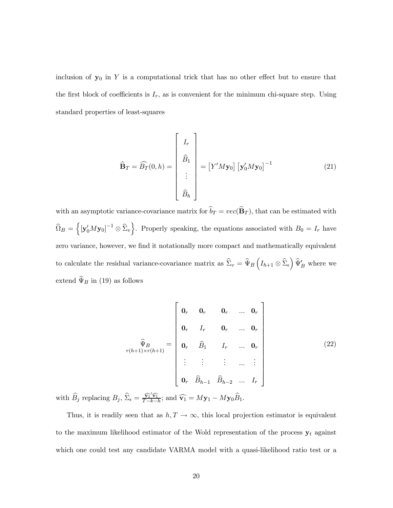inclusion of  $y_0$  in Y is a computational trick that has no other effect but to ensure that the first block of coefficients is  $I_r$ , as is convenient for the minimum chi-square step. Using standard properties of least-squares

$$
\widehat{\mathbf{B}}_T = \widehat{B}_T(0, h) = \begin{bmatrix} I_r \\ \widehat{B}_1 \\ \vdots \\ \widehat{B}_h \end{bmatrix} = \begin{bmatrix} Y'M \mathbf{y}_0 \end{bmatrix} \begin{bmatrix} \mathbf{y}'_0 M \mathbf{y}_0 \end{bmatrix}^{-1}
$$
(21)

with an asymptotic variance-covariance matrix for  $\widehat{b}_T = vec(\widehat{B}_T)$ , that can be estimated with  $\widehat{\Omega}_B = \left\{ [\mathbf{y}'_0 M \mathbf{y}_0]^{-1} \otimes \widehat{\Sigma}_v \right\}$ . Properly speaking, the equations associated with  $B_0 = I_r$  have zero variance, however, we find it notationally more compact and mathematically equivalent to calculate the residual variance-covariance matrix as  $\hat{\Sigma}_v = \hat{\Psi}_B \left( I_{h+1} \otimes \hat{\Sigma}_\epsilon \right) \hat{\Psi}'_B$  where we extend  $\widehat{\Psi}_{B}$  in (19) as follows

$$
\widehat{\Psi}_{B}
$$
\n
$$
\widehat{\Psi}_{B}
$$
\n
$$
\widehat{\Psi}_{B}
$$
\n
$$
\vdots \qquad \widehat{B}_{h-1}
$$
\n
$$
\widehat{B}_{h-2} \qquad \cdots \qquad \widehat{B}_{r}
$$
\n
$$
\widehat{\Pi}_{r} \qquad \cdots \qquad \widehat{B}_{r}
$$
\n
$$
\vdots \qquad \vdots \qquad \vdots \qquad \vdots \qquad \vdots
$$
\n
$$
\widehat{B}_{h-1}
$$
\n
$$
\widehat{B}_{h-2} \qquad \cdots \qquad \widehat{B}_{r}
$$
\n
$$
\widehat{B}_{h-1}
$$
\n
$$
\widehat{B}_{h-2}
$$
\n
$$
\widehat{B}_{h-1}
$$
\n
$$
\widehat{B}_{h-2}
$$
\n
$$
\widehat{B}_{h-1}
$$
\n
$$
\widehat{B}_{h-1}
$$
\n
$$
\widehat{B}_{h-1}
$$
\n
$$
\widehat{B}_{h-1}
$$
\n
$$
\widehat{B}_{h-1}
$$
\n
$$
\widehat{B}_{h-1}
$$
\n
$$
\widehat{B}_{h-1}
$$
\n
$$
\widehat{B}_{h-1}
$$
\n
$$
\widehat{B}_{h-1}
$$
\n
$$
\widehat{B}_{h-1}
$$
\n
$$
\widehat{B}_{h-1}
$$
\n
$$
\widehat{B}_{h-1}
$$
\n
$$
\widehat{B}_{h-1}
$$
\n
$$
\widehat{B}_{h-1}
$$
\n
$$
\widehat{B}_{h-1}
$$
\n
$$
\widehat{B}_{h-1}
$$
\n
$$
\widehat{B}_{h-1}
$$
\n
$$
\widehat{B}_{h-1}
$$
\n
$$
\widehat{B}_{h-1}
$$
\n
$$
\widehat{B}_{h-1}
$$
\n
$$
\widehat{B}_{h-1}
$$
\n
$$
\widehat{B}_{h-1}
$$
\n
$$
\widehat{B}_{h-1}
$$
\n
$$
\widehat{B}_{h-1}
$$
\n
$$
\widehat{B}_{h-1}
$$
\n
$$
\widehat{B}_{h-1
$$

with  $\widehat{B}_j$  replacing  $B_j$ ,  $\widehat{\Sigma}_{\epsilon} = \frac{\widehat{\mathbf{v}_1}' \widehat{\mathbf{v}_1}}{T-k-h}$ ; and  $\widehat{\mathbf{v}_1} = M\mathbf{y}_1 - M\mathbf{y}_0 \widehat{B}_1$ .

Thus, it is readily seen that as  $h, T \to \infty$ , this local projection estimator is equivalent to the maximum likelihood estimator of the Wold representation of the process  $y_t$  against which one could test any candidate VARMA model with a quasi-likelihood ratio test or a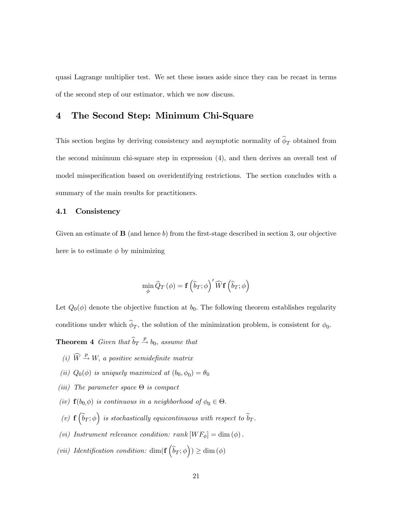quasi Lagrange multiplier test. We set these issues aside since they can be recast in terms of the second step of our estimator, which we now discuss.

## 4 The Second Step: Minimum Chi-Square

This section begins by deriving consistency and asymptotic normality of  $\widehat{\phi}_T$  obtained from the second minimum chi-square step in expression (4), and then derives an overall test of model misspecification based on overidentifying restrictions. The section concludes with a summary of the main results for practitioners.

#### 4.1 Consistency

Given an estimate of  $\bf{B}$  (and hence b) from the first-stage described in section 3, our objective here is to estimate  $\phi$  by minimizing

$$
\min_{\phi} \widehat{Q}_T \left( \phi \right) = \mathbf{f} \left( \widehat{b}_T ; \phi \right)' \widehat{W} \mathbf{f} \left( \widehat{b}_T ; \phi \right)
$$

Let  $Q_0(\phi)$  denote the objective function at  $b_0$ . The following theorem establishes regularity conditions under which  $\widehat{\phi}_T$ , the solution of the minimization problem, is consistent for  $\phi_0$ .

**Theorem 4** Given that  $\hat{b}_T \stackrel{p}{\rightarrow} b_0$ , assume that

- (i)  $\widehat{W} \stackrel{p}{\rightarrow} W$ , a positive semidefinite matrix
- (ii)  $Q_0(\phi)$  is uniquely maximized at  $(b_0, \phi_0) = \theta_0$
- (iii) The parameter space  $\Theta$  is compact
- (iv)  $f(b_0, \phi)$  is continuous in a neighborhood of  $\phi_0 \in \Theta$ .
- (v)  $\mathbf{f}(\widehat{b}_T;\phi)$  is stochastically equicontinuous with respect to  $\widehat{b}_T$ .
- (vi) Instrument relevance condition:  $rank[WF_{\phi}] = dim(\phi)$ .
- (vii) Identification condition:  $\dim(f(\hat{b}_T;\phi)) \geq \dim(\phi)$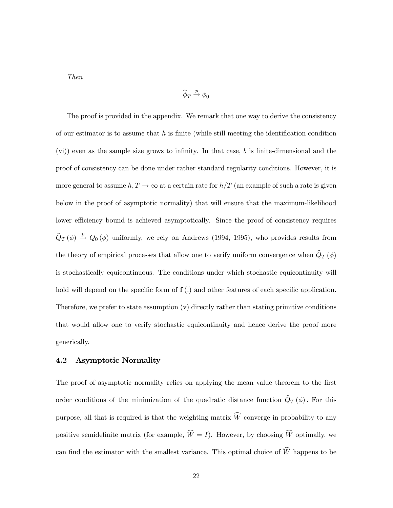Then

$$
\widehat{\phi}_T \xrightarrow{p} \phi_0
$$

The proof is provided in the appendix. We remark that one way to derive the consistency of our estimator is to assume that  $h$  is finite (while still meeting the identification condition  $(vi)$ ) even as the sample size grows to infinity. In that case, b is finite-dimensional and the proof of consistency can be done under rather standard regularity conditions. However, it is more general to assume  $h, T \to \infty$  at a certain rate for  $h/T$  (an example of such a rate is given below in the proof of asymptotic normality) that will ensure that the maximum-likelihood lower efficiency bound is achieved asymptotically. Since the proof of consistency requires  $\hat{Q}_T(\phi) \stackrel{p}{\rightarrow} Q_0(\phi)$  uniformly, we rely on Andrews (1994, 1995), who provides results from the theory of empirical processes that allow one to verify uniform convergence when  $\widehat{Q}_T (\phi)$ is stochastically equicontinuous. The conditions under which stochastic equicontinuity will hold will depend on the specific form of  $f(.)$  and other features of each specific application. Therefore, we prefer to state assumption (v) directly rather than stating primitive conditions that would allow one to verify stochastic equicontinuity and hence derive the proof more generically.

#### 4.2 Asymptotic Normality

The proof of asymptotic normality relies on applying the mean value theorem to the first order conditions of the minimization of the quadratic distance function  $\widehat{Q}_T (\phi)$ . For this purpose, all that is required is that the weighting matrix  $W$  converge in probability to any positive semidefinite matrix (for example,  $W = I$ ). However, by choosing W optimally, we can find the estimator with the smallest variance. This optimal choice of  $W$  happens to be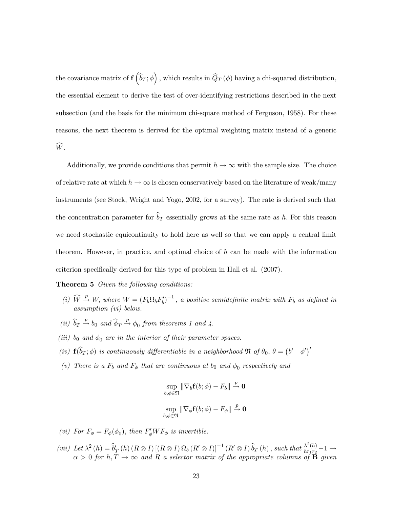the covariance matrix of  $\mathbf{f}(\widehat{b}_T;\phi)$  , which results in  $\widehat{Q}_T\left(\phi\right)$  having a chi-squared distribution, the essential element to derive the test of over-identifying restrictions described in the next subsection (and the basis for the minimum chi-square method of Ferguson, 1958). For these reasons, the next theorem is derived for the optimal weighting matrix instead of a generic  $\widehat{W}$ .

Additionally, we provide conditions that permit  $h \to \infty$  with the sample size. The choice of relative rate at which  $h \to \infty$  is chosen conservatively based on the literature of weak/many instruments (see Stock, Wright and Yogo, 2002, for a survey). The rate is derived such that the concentration parameter for  $\widehat{b}_T$  essentially grows at the same rate as h. For this reason we need stochastic equicontinuity to hold here as well so that we can apply a central limit theorem. However, in practice, and optimal choice of  $h$  can be made with the information criterion specifically derived for this type of problem in Hall et al. (2007).

**Theorem 5** Given the following conditions:

- (i)  $\widehat{W} \stackrel{p}{\rightarrow} W$ , where  $W = (F_b \Omega_b F'_b)^{-1}$ , a positive semidefinite matrix with  $F_b$  as defined in assumption (vi) below.
- (ii)  $\widehat{b}_T \stackrel{p}{\rightarrow} b_0$  and  $\widehat{\phi}_T \stackrel{p}{\rightarrow} \phi_0$  from theorems 1 and 4.
- (iii) b<sub>0</sub> and  $\phi_0$  are in the interior of their parameter spaces.
- (iv)  $\mathbf{f}(\widehat{b}_T;\phi)$  is continuously differentiable in a neighborhood  $\mathfrak{N}$  of  $\theta_0$ ,  $\theta = (\begin{bmatrix} b' & \phi' \end{bmatrix})'$
- (v) There is a  $F_b$  and  $F_\phi$  that are continuous at  $b_0$  and  $\phi_0$  respectively and

$$
\sup_{b,\phi \in \mathfrak{N}} \|\nabla_b \mathbf{f}(b; \phi) - F_b\| \xrightarrow{p} \mathbf{0}
$$
  

$$
\sup_{b,\phi \in \mathfrak{N}} \|\nabla_{\phi} \mathbf{f}(b; \phi) - F_{\phi}\| \xrightarrow{p} \mathbf{0}
$$

- (vi) For  $F_{\phi} = F_{\phi}(\phi_0)$ , then  $F'_{\phi}WF_{\phi}$  is invertible.
- (vii) Let  $\lambda^2(h) = \widehat{b}_T(h) (R \otimes I) [(R \otimes I) \Omega_b (R' \otimes I)]^{-1} (R' \otimes I) \widehat{b}_T(h)$ , such that  $\frac{\lambda^2(h)}{hr_1r_2} 1 \rightarrow$  $\alpha > 0$  for  $h, T \to \infty$  and R a selector matrix of the appropriate columns of **B** given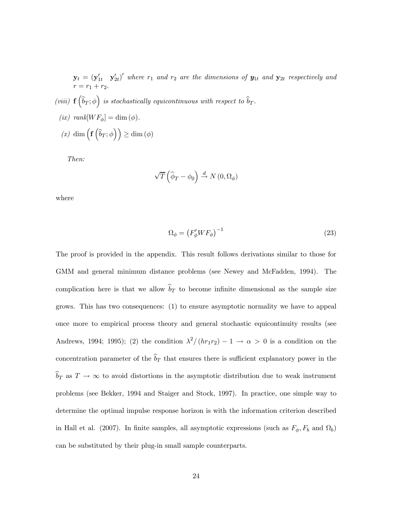$\mathbf{y}_t = (\mathbf{y}_{1t}' \quad \mathbf{y}_{2t}')'$  where  $r_1$  and  $r_2$  are the dimensions of  $\mathbf{y}_{1t}$  and  $\mathbf{y}_{2t}$  respectively and  $r = r_1 + r_2.$ 

- (viii)  $\mathbf{f}(\widehat{b}_T;\phi)$  is stochastically equicontinuous with respect to  $\widehat{b}_T$ .
- (ix)  $rank[WF_{\phi}] = \dim (\phi)$ .  $(x) \dim \left( \mathbf{f} \left( \widehat{b}_T; \phi \right) \right) \ge \dim \left( \phi \right)$

Then:

$$
\sqrt{T}\left(\widehat{\phi}_T - \phi_0\right) \stackrel{d}{\rightarrow} N\left(0, \Omega_{\phi}\right)
$$

where

$$
\Omega_{\phi} = \left(F_{\phi}' W F_{\phi}\right)^{-1} \tag{23}
$$

The proof is provided in the appendix. This result follows derivations similar to those for GMM and general minimum distance problems (see Newey and McFadden, 1994). The complication here is that we allow  $\widehat{b}_T$  to become infinite dimensional as the sample size grows. This has two consequences: (1) to ensure asymptotic normality we have to appeal once more to empirical process theory and general stochastic equicontinuity results (see Andrews, 1994; 1995); (2) the condition  $\lambda^2/(hr_1r_2) - 1 \rightarrow \alpha > 0$  is a condition on the concentration parameter of the  $\widehat{b}_T$  that ensures there is sufficient explanatory power in the  $\widehat{b}_T$  as  $T \to \infty$  to avoid distortions in the asymptotic distribution due to weak instrument problems (see Bekker, 1994 and Staiger and Stock, 1997). In practice, one simple way to determine the optimal impulse response horizon is with the information criterion described in Hall et al. (2007). In finite samples, all asymptotic expressions (such as  $F_{\phi}, F_b$  and  $\Omega_b$ ) can be substituted by their plug-in small sample counterparts.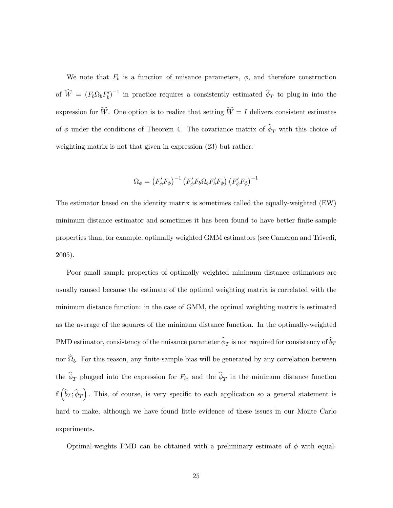We note that  $F_b$  is a function of nuisance parameters,  $\phi$ , and therefore construction of  $\widehat{W} = (F_b \Omega_b F'_b)^{-1}$  in practice requires a consistently estimated  $\widehat{\phi}_T$  to plug-in into the expression for W. One option is to realize that setting  $W = I$  delivers consistent estimates of  $\phi$  under the conditions of Theorem 4. The covariance matrix of  $\widehat{\phi}_T$  with this choice of weighting matrix is not that given in expression (23) but rather:

$$
\Omega_{\phi} = \left(F'_{\phi}F_{\phi}\right)^{-1}\left(F'_{\phi}F_{b}\Omega_{b}F'_{b}F_{\phi}\right)\left(F'_{\phi}F_{\phi}\right)^{-1}
$$

The estimator based on the identity matrix is sometimes called the equally-weighted (EW) minimum distance estimator and sometimes it has been found to have better finite-sample properties than, for example, optimally weighted GMM estimators (see Cameron and Trivedi, 2005).

Poor small sample properties of optimally weighted minimum distance estimators are usually caused because the estimate of the optimal weighting matrix is correlated with the minimum distance function: in the case of GMM, the optimal weighting matrix is estimated as the average of the squares of the minimum distance function. In the optimally-weighted PMD estimator, consistency of the nuisance parameter  $\widehat{\phi}_T$  is not required for consistency of  $\widehat{b}_T$ nor  $\widehat{\Omega}_b$ . For this reason, any finite-sample bias will be generated by any correlation between the  $\hat{\phi}_T$  plugged into the expression for  $F_b$ , and the  $\hat{\phi}_T$  in the minimum distance function  $\mathbf{f}(\widehat{b}_T;\widehat{\phi}_T)$ . This, of course, is very specific to each application so a general statement is hard to make, although we have found little evidence of these issues in our Monte Carlo experiments.

Optimal-weights PMD can be obtained with a preliminary estimate of  $\phi$  with equal-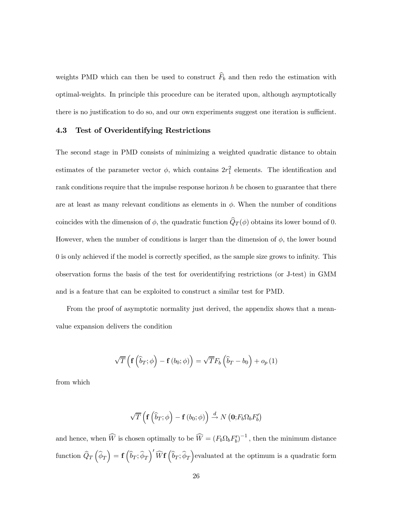weights PMD which can then be used to construct  $\widehat{F}_b$  and then redo the estimation with optimal-weights. In principle this procedure can be iterated upon, although asymptotically there is no justification to do so, and our own experiments suggest one iteration is sufficient.

#### 4.3 Test of Overidentifying Restrictions

The second stage in PMD consists of minimizing a weighted quadratic distance to obtain estimates of the parameter vector  $\phi$ , which contains  $2r_1^2$  elements. The identification and rank conditions require that the impulse response horizon  $h$  be chosen to guarantee that there are at least as many relevant conditions as elements in  $\phi$ . When the number of conditions coincides with the dimension of  $\phi$ , the quadratic function  $\widehat{Q}_T (\phi)$  obtains its lower bound of 0. However, when the number of conditions is larger than the dimension of  $\phi$ , the lower bound 0 is only achieved if the model is correctly specified, as the sample size grows to infinity. This observation forms the basis of the test for overidentifying restrictions (or J-test) in GMM and is a feature that can be exploited to construct a similar test for PMD.

From the proof of asymptotic normality just derived, the appendix shows that a meanvalue expansion delivers the condition

$$
\sqrt{T}\left(\mathbf{f}\left(\widehat{b}_{T};\phi\right)-\mathbf{f}\left(b_{0};\phi\right)\right)=\sqrt{T}F_{b}\left(\widehat{b}_{T}-b_{0}\right)+o_{p}\left(1\right)
$$

from which

$$
\sqrt{T}\left(\mathbf{f}\left(\widehat{b}_T;\phi\right)-\mathbf{f}\left(b_0;\phi\right)\right)\stackrel{d}{\to}N\left(\mathbf{0};F_b\Omega_bF_b'\right)
$$

and hence, when  $\widehat{W}$  is chosen optimally to be  $\widehat{W} = (F_b \Omega_b F'_b)^{-1}$ , then the minimum distance function  $\widehat{Q}_T\left(\widehat{\phi}_T\right) = \mathbf{f}\left(\widehat{b}_T;\widehat{\phi}_T\right)'\widehat{W}\mathbf{f}\left(\widehat{b}_T;\widehat{\phi}_T\right)$ evaluated at the optimum is a quadratic form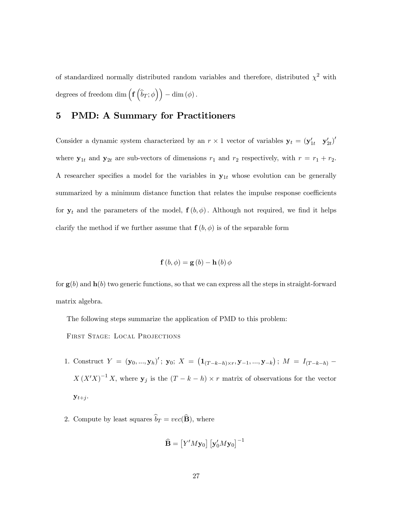of standardized normally distributed random variables and therefore, distributed  $\chi^2$  with degrees of freedom dim  $\left(\mathbf{f}\left(\widehat{b}_{T};\phi\right)\right) - \dim\left(\phi\right)$ .

## 5 PMD: A Summary for Practitioners

Consider a dynamic system characterized by an  $r \times 1$  vector of variables  $y_t = (y'_{1t} \ y'_{2t})'$ where  $y_{1t}$  and  $y_{2t}$  are sub-vectors of dimensions  $r_1$  and  $r_2$  respectively, with  $r = r_1 + r_2$ . A researcher specifies a model for the variables in  $y_{1t}$  whose evolution can be generally summarized by a minimum distance function that relates the impulse response coefficients for  $y_t$  and the parameters of the model,  $f(b, \phi)$ . Although not required, we find it helps clarify the method if we further assume that  $f(b, \phi)$  is of the separable form

$$
\mathbf{f}\left(b,\phi\right) = \mathbf{g}\left(b\right) - \mathbf{h}\left(b\right)\phi
$$

for  $g(b)$  and  $h(b)$  two generic functions, so that we can express all the steps in straight-forward matrix algebra.

The following steps summarize the application of PMD to this problem:

First Stage: Local Projections

- 1. Construct  $Y = (\mathbf{y}_0, ..., \mathbf{y}_h)'$ ;  $\mathbf{y}_0$ ;  $X = (\mathbf{1}_{(T-k-h)\times r}, \mathbf{y}_{-1}, ..., \mathbf{y}_{-k})$ ;  $M = I_{(T-k-h)}$  $X(X'X)^{-1}X$ , where  $y_j$  is the  $(T - k - h) \times r$  matrix of observations for the vector  $y_{t+j}$ .
- 2. Compute by least squares  $\widehat{b}_T = vec(\widehat{\mathbf{B}})$ , where

$$
\widehat{\mathbf{B}} = \left[ Y'M \mathbf{y}_0 \right] \left[ \mathbf{y}_0'M \mathbf{y}_0 \right]^{-1}
$$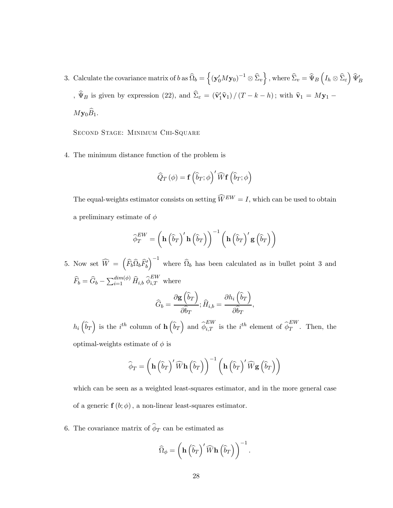3. Calculate the covariance matrix of  $b$  as  $\widehat{\Omega}_b = \left\{ (\mathbf{y}_0^\prime M \mathbf{y}_0)^{-1} \otimes \widehat{\Sigma}_v \right\}$  , where  $\widehat{\Sigma}_v = \widehat{\Psi}_B \left(I_h \otimes \widehat{\Sigma}_\varepsilon \right) \widehat{\Psi}_B^\prime$ ,  $\Psi_B$  is given by expression (22), and  $\Sigma_{\varepsilon} = (\hat{v}'_1 \hat{v}_1) / (T - k - h)$ ; with  $\hat{v}_1 = M y_1 My_0\widehat{B}_1$ .

Second Stage: Minimum Chi-Square

4. The minimum distance function of the problem is

$$
\widehat{Q}_T(\phi) = \mathbf{f}\left(\widehat{b}_T; \phi\right)' \widehat{W} \mathbf{f}\left(\widehat{b}_T; \phi\right)
$$

The equal-weights estimator consists on setting  $\widehat{W}^{EW} = I$ , which can be used to obtain a preliminary estimate of  $\phi$ 

$$
\widehat{\phi}_T^{EW} = \left(\mathbf{h}\left(\widehat{b}_T\right)'\mathbf{h}\left(\widehat{b}_T\right)\right)^{-1}\left(\mathbf{h}\left(\widehat{b}_T\right)'\mathbf{g}\left(\widehat{b}_T\right)\right)
$$

5. Now set  $\widehat{W} = \left( \widehat{F}_b \widehat{\Omega}_b \widehat{F}_b' \right)$  $\int^{-1}$  where  $\widehat{\Omega}_b$  has been calculated as in bullet point 3 and  $\widehat{F}_b = \widehat{G}_b - \sum_{i=1}^{dim(\phi)} \widehat{H}_{i,b} \widehat{\phi}_{i,T}^{EW}$  where

$$
\widehat{G}_b = \frac{\partial \mathbf{g}(\widehat{b}_T)}{\partial \widehat{b}_T}; \widehat{H}_{i,b} = \frac{\partial h_i(\widehat{b}_T)}{\partial \widehat{b}_T},
$$

 $h_i\left(\widehat{b}_T\right)$  is the  $i^{th}$  column of  $\mathbf{h}\left(\widehat{b}_T\right)$  and  $\widehat{\phi}_{i,T}^{EW}$  is the  $i^{th}$  element of  $\widehat{\phi}_T^{EW}$ . Then, the optimal-weights estimate of  $\phi$  is

$$
\widehat{\phi}_T = \left(\mathbf{h}\left(\widehat{b}_T\right)'\widehat{W}\mathbf{h}\left(\widehat{b}_T\right)\right)^{-1}\left(\mathbf{h}\left(\widehat{b}_T\right)'\widehat{W}\mathbf{g}\left(\widehat{b}_T\right)\right)
$$

which can be seen as a weighted least-squares estimator, and in the more general case of a generic  $f(b; \phi)$ , a non-linear least-squares estimator.

6. The covariance matrix of  $\widehat{\phi}_T$  can be estimated as

$$
\widehat{\Omega}_{\phi} = \left(\mathbf{h} \left(\widehat{b}_T\right)^{\prime} \widehat{W} \mathbf{h} \left(\widehat{b}_T\right)\right)^{-1}.
$$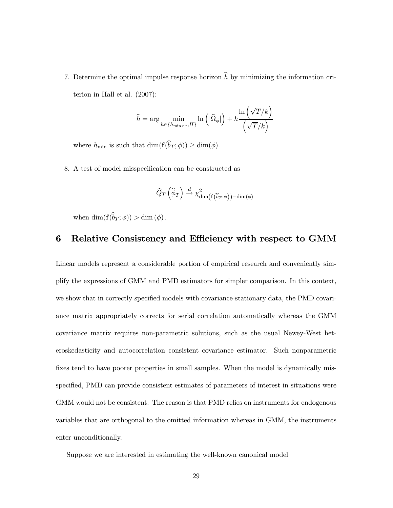7. Determine the optimal impulse response horizon  $h$  by minimizing the information criterion in Hall et al. (2007):

$$
\widehat{h} = \arg\min_{h \in \{h_{\min},...,H\}} \ln\left(|\widehat{\Omega}_{\phi}|\right) + h \frac{\ln\left(\sqrt{T}/k\right)}{\left(\sqrt{T}/k\right)}
$$

where  $h_{\min}$  is such that  $\dim(\mathbf{f}(\widehat{b}_T; \phi)) \geq \dim(\phi)$ .

8. A test of model misspecification can be constructed as

$$
\widehat{Q}_T\left(\widehat{\phi}_T\right) \stackrel{d}{\rightarrow} \chi^2_{\dim\left(\mathbf{f}\left(\widehat{b}_T;\phi\right)\right) - \dim(\phi)}
$$

when  $\dim(\mathbf{f}(\widehat{b}_T; \phi)) > \dim(\phi)$ .

## 6 Relative Consistency and Efficiency with respect to GMM

Linear models represent a considerable portion of empirical research and conveniently simplify the expressions of GMM and PMD estimators for simpler comparison. In this context, we show that in correctly specified models with covariance-stationary data, the PMD covariance matrix appropriately corrects for serial correlation automatically whereas the GMM covariance matrix requires non-parametric solutions, such as the usual Newey-West heteroskedasticity and autocorrelation consistent covariance estimator. Such nonparametric fixes tend to have poorer properties in small samples. When the model is dynamically misspecified, PMD can provide consistent estimates of parameters of interest in situations were GMM would not be consistent. The reason is that PMD relies on instruments for endogenous variables that are orthogonal to the omitted information whereas in GMM, the instruments enter unconditionally.

Suppose we are interested in estimating the well-known canonical model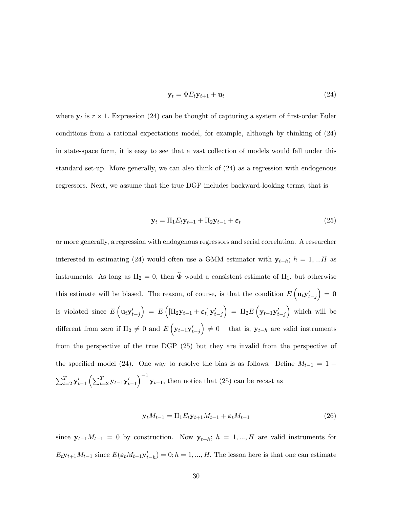$$
\mathbf{y}_t = \Phi E_t \mathbf{y}_{t+1} + \mathbf{u}_t \tag{24}
$$

where  $y_t$  is  $r \times 1$ . Expression (24) can be thought of capturing a system of first-order Euler conditions from a rational expectations model, for example, although by thinking of (24) in state-space form, it is easy to see that a vast collection of models would fall under this standard set-up. More generally, we can also think of (24) as a regression with endogenous regressors. Next, we assume that the true DGP includes backward-looking terms, that is

$$
\mathbf{y}_t = \Pi_1 E_t \mathbf{y}_{t+1} + \Pi_2 \mathbf{y}_{t-1} + \boldsymbol{\varepsilon}_t \tag{25}
$$

or more generally, a regression with endogenous regressors and serial correlation. A researcher interested in estimating (24) would often use a GMM estimator with  $y_{t-h}$ ;  $h = 1,...H$  as instruments. As long as  $\Pi_2 = 0$ , then  $\widehat{\Phi}$  would a consistent estimate of  $\Pi_1$ , but otherwise this estimate will be biased. The reason, of course, is that the condition  $E\left(\mathbf{u}_t \mathbf{y}_{t-j}^\prime\right)$  $\Big) = 0$ is violated since  $E\left(\mathbf{u}_t \mathbf{y}_{t-j}^\prime\right)$  $\Big) = E \left( \left[ \Pi_2 \mathbf{y}_{t-1} + \boldsymbol{\varepsilon}_t \right] \mathbf{y}'_{t-j} \right)$  $\Big) \ = \ \Pi_2 E \, \Big( \mathbf{y}_{t-1} \mathbf{y}'_{t-j}$ ) which will be different from zero if  $\Pi_2 \neq 0$  and  $E\left(\mathbf{y}_{t-1}\mathbf{y}_{t-j}^{\prime}\right)$  $\Big) \neq 0$  – that is,  $\mathbf{y}_{t-h}$  are valid instruments from the perspective of the true DGP (25) but they are invalid from the perspective of the specified model (24). One way to resolve the bias is as follows. Define  $M_{t-1} = 1 \sum_{t=2}^T \mathbf{y}_{t-1}^\prime \left( \sum_{t=2}^T \mathbf{y}_{t-1} \mathbf{y}_{t-1}^\prime \right)$  $\int^{-1}$ **y**<sub>t−1</sub>, then notice that (25) can be recast as

$$
\mathbf{y}_t M_{t-1} = \Pi_1 E_t \mathbf{y}_{t+1} M_{t-1} + \boldsymbol{\varepsilon}_t M_{t-1} \tag{26}
$$

since  $y_{t-1}M_{t-1} = 0$  by construction. Now  $y_{t-h}$ ;  $h = 1, ..., H$  are valid instruments for  $E_t \mathbf{y}_{t+1} M_{t-1}$  since  $E(\epsilon_t M_{t-1} \mathbf{y}'_{t-h}) = 0; h = 1, ..., H$ . The lesson here is that one can estimate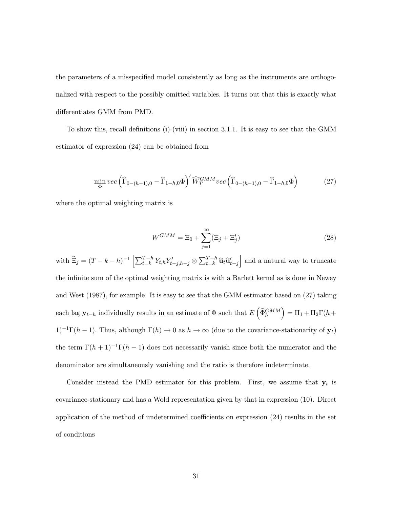the parameters of a misspecified model consistently as long as the instruments are orthogonalized with respect to the possibly omitted variables. It turns out that this is exactly what differentiates GMM from PMD.

To show this, recall definitions (i)-(viii) in section 3.1.1. It is easy to see that the GMM estimator of expression (24) can be obtained from

$$
\min_{\Phi} vec\left(\widehat{\Gamma}_{0-(h-1),0} - \widehat{\Gamma}_{1-h,0} \Phi\right)' \widehat{W}_T^{GMM} vec\left(\widehat{\Gamma}_{0-(h-1),0} - \widehat{\Gamma}_{1-h,0} \Phi\right)
$$
(27)

where the optimal weighting matrix is

$$
W^{GMM} = \Xi_0 + \sum_{j=1}^{\infty} (\Xi_j + \Xi'_j)
$$
 (28)

with  $\widehat{\Xi}_j = (T - k - h)^{-1} \left[ \sum_{t=k}^{T-h} Y_{t,h} Y'_{t-j,h-j} \otimes \sum_{t=k}^{T-h} \widehat{\mathbf{u}}_t \widehat{\mathbf{u}}'_{t-j} \right]$ and a natural way to truncate the infinite sum of the optimal weighting matrix is with a Barlett kernel as is done in Newey and West (1987), for example. It is easy to see that the GMM estimator based on (27) taking each lag  $\mathbf{y}_{t-h}$  individually results in an estimate of  $\Phi$  such that  $E\left(\widehat{\Phi}_{h}^{GMM}\right)$  $= \Pi_1 + \Pi_2 \Gamma(h +$ 1)<sup>-1</sup>Γ(h − 1). Thus, although  $\Gamma(h) \to 0$  as  $h \to \infty$  (due to the covariance-stationarity of  $y_t$ ) the term  $\Gamma(h+1)^{-1}\Gamma(h-1)$  does not necessarily vanish since both the numerator and the denominator are simultaneously vanishing and the ratio is therefore indeterminate.

Consider instead the PMD estimator for this problem. First, we assume that  $y_t$  is covariance-stationary and has a Wold representation given by that in expression (10). Direct application of the method of undetermined coefficients on expression (24) results in the set of conditions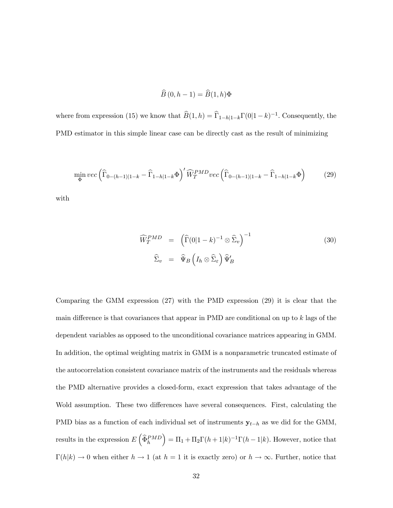$$
\widehat{B}\left(0,h-1\right) = \widehat{B}(1,h)\Phi
$$

where from expression (15) we know that  $\widehat{B}(1, h) = \widehat{\Gamma}_{1-h|1-k}\Gamma(0|1-k)^{-1}$ . Consequently, the PMD estimator in this simple linear case can be directly cast as the result of minimizing

$$
\min_{\Phi} vec\left(\widehat{\Gamma}_{0-(h-1)|1-k} - \widehat{\Gamma}_{1-h|1-k} \Phi\right)' \widehat{W}_T^{PMD} vec\left(\widehat{\Gamma}_{0-(h-1)|1-k} - \widehat{\Gamma}_{1-h|1-k} \Phi\right) \tag{29}
$$

with

$$
\widehat{W}_T^{PMD} = (\widehat{\Gamma}(0|1-k)^{-1} \otimes \widehat{\Sigma}_v)^{-1} \tag{30}
$$
\n
$$
\widehat{\Sigma}_v = \widehat{\Psi}_B \left( I_h \otimes \widehat{\Sigma}_\varepsilon \right) \widehat{\Psi}_B'
$$

Comparing the GMM expression (27) with the PMD expression (29) it is clear that the main difference is that covariances that appear in PMD are conditional on up to k lags of the dependent variables as opposed to the unconditional covariance matrices appearing in GMM. In addition, the optimal weighting matrix in GMM is a nonparametric truncated estimate of the autocorrelation consistent covariance matrix of the instruments and the residuals whereas the PMD alternative provides a closed-form, exact expression that takes advantage of the Wold assumption. These two differences have several consequences. First, calculating the PMD bias as a function of each individual set of instruments  $y_{t-h}$  as we did for the GMM, results in the expression  $E\left(\widehat{\Phi}_h^{PMD}\right)$  $= \Pi_1 + \Pi_2 \Gamma(h+1|k)^{-1} \Gamma(h-1|k)$ . However, notice that  $\Gamma(h|k) \to 0$  when either  $h \to 1$  (at  $h = 1$  it is exactly zero) or  $h \to \infty$ . Further, notice that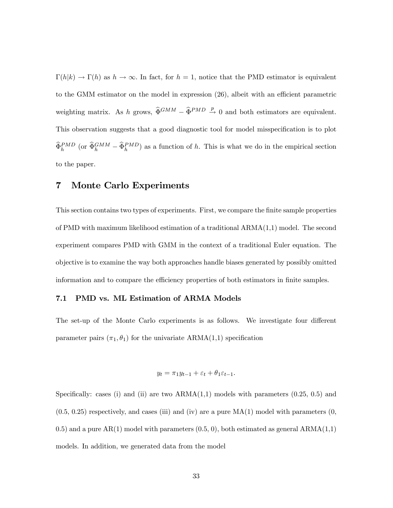$\Gamma(h|k) \to \Gamma(h)$  as  $h \to \infty$ . In fact, for  $h = 1$ , notice that the PMD estimator is equivalent to the GMM estimator on the model in expression (26), albeit with an efficient parametric weighting matrix. As h grows,  $\hat{\Phi}^{GMM} - \hat{\Phi}^{PMD} \stackrel{p}{\rightarrow} 0$  and both estimators are equivalent. This observation suggests that a good diagnostic tool for model misspecification is to plot  $\widehat{\Phi}_h^{PMD}$  (or  $\widehat{\Phi}_h^{GMM} - \widehat{\Phi}_h^{PMD}$ ) as a function of h. This is what we do in the empirical section to the paper.

#### 7 Monte Carlo Experiments

This section contains two types of experiments. First, we compare the finite sample properties of PMD with maximum likelihood estimation of a traditional ARMA(1,1) model. The second experiment compares PMD with GMM in the context of a traditional Euler equation. The objective is to examine the way both approaches handle biases generated by possibly omitted information and to compare the efficiency properties of both estimators in finite samples.

#### 7.1 PMD vs. ML Estimation of ARMA Models

The set-up of the Monte Carlo experiments is as follows. We investigate four different parameter pairs  $(\pi_1, \theta_1)$  for the univariate ARMA(1,1) specification

$$
y_t = \pi_1 y_{t-1} + \varepsilon_t + \theta_1 \varepsilon_{t-1}.
$$

Specifically: cases (i) and (ii) are two  $ARMA(1,1)$  models with parameters  $(0.25, 0.5)$  and  $(0.5, 0.25)$  respectively, and cases (iii) and (iv) are a pure  $MA(1)$  model with parameters  $(0, 0.5, 0.25)$ 0.5) and a pure  $AR(1)$  model with parameters  $(0.5, 0)$ , both estimated as general  $ARMA(1,1)$ models. In addition, we generated data from the model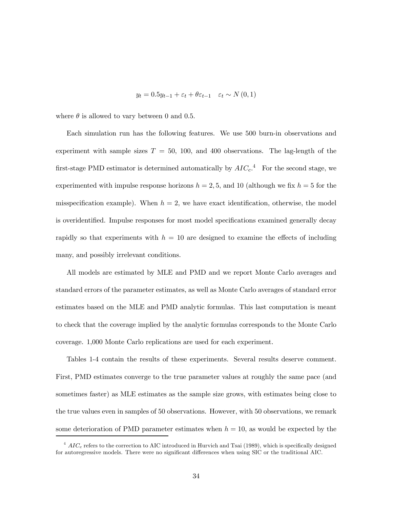$$
y_t = 0.5y_{t-1} + \varepsilon_t + \theta \varepsilon_{t-1} \quad \varepsilon_t \sim N(0, 1)
$$

where  $\theta$  is allowed to vary between 0 and 0.5.

Each simulation run has the following features. We use 500 burn-in observations and experiment with sample sizes  $T = 50, 100,$  and 400 observations. The lag-length of the first-stage PMD estimator is determined automatically by  $AIC_c$ <sup>4</sup> For the second stage, we experimented with impulse response horizons  $h = 2, 5$ , and 10 (although we fix  $h = 5$  for the misspecification example). When  $h = 2$ , we have exact identification, otherwise, the model is overidentified. Impulse responses for most model specifications examined generally decay rapidly so that experiments with  $h = 10$  are designed to examine the effects of including many, and possibly irrelevant conditions.

All models are estimated by MLE and PMD and we report Monte Carlo averages and standard errors of the parameter estimates, as well as Monte Carlo averages of standard error estimates based on the MLE and PMD analytic formulas. This last computation is meant to check that the coverage implied by the analytic formulas corresponds to the Monte Carlo coverage. 1,000 Monte Carlo replications are used for each experiment.

Tables 1-4 contain the results of these experiments. Several results deserve comment. First, PMD estimates converge to the true parameter values at roughly the same pace (and sometimes faster) as MLE estimates as the sample size grows, with estimates being close to the true values even in samples of 50 observations. However, with 50 observations, we remark some deterioration of PMD parameter estimates when  $h = 10$ , as would be expected by the

 $4$  AIC<sub>c</sub> refers to the correction to AIC introduced in Hurvich and Tsai (1989), which is specifically designed for autoregressive models. There were no significant differences when using SIC or the traditional AIC.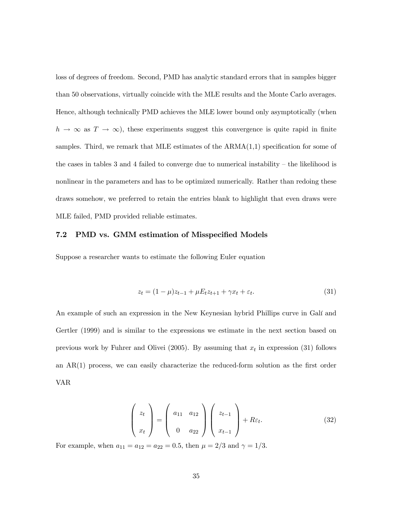loss of degrees of freedom. Second, PMD has analytic standard errors that in samples bigger than 50 observations, virtually coincide with the MLE results and the Monte Carlo averages. Hence, although technically PMD achieves the MLE lower bound only asymptotically (when  $h \to \infty$  as  $T \to \infty$ ), these experiments suggest this convergence is quite rapid in finite samples. Third, we remark that MLE estimates of the  $ARMA(1,1)$  specification for some of the cases in tables 3 and 4 failed to converge due to numerical instability — the likelihood is nonlinear in the parameters and has to be optimized numerically. Rather than redoing these draws somehow, we preferred to retain the entries blank to highlight that even draws were MLE failed, PMD provided reliable estimates.

#### 7.2 PMD vs. GMM estimation of Misspecified Models

Suppose a researcher wants to estimate the following Euler equation

$$
z_t = (1 - \mu)z_{t-1} + \mu E_t z_{t+1} + \gamma x_t + \varepsilon_t.
$$
\n(31)

An example of such an expression in the New Keynesian hybrid Phillips curve in Galí and Gertler (1999) and is similar to the expressions we estimate in the next section based on previous work by Fuhrer and Olivei (2005). By assuming that  $x_t$  in expression (31) follows an AR(1) process, we can easily characterize the reduced-form solution as the first order VAR

$$
\begin{pmatrix} z_t \\ x_t \end{pmatrix} = \begin{pmatrix} a_{11} & a_{12} \\ 0 & a_{22} \end{pmatrix} \begin{pmatrix} z_{t-1} \\ x_{t-1} \end{pmatrix} + R\varepsilon_t.
$$
 (32)

For example, when  $a_{11} = a_{12} = a_{22} = 0.5$ , then  $\mu = 2/3$  and  $\gamma = 1/3$ .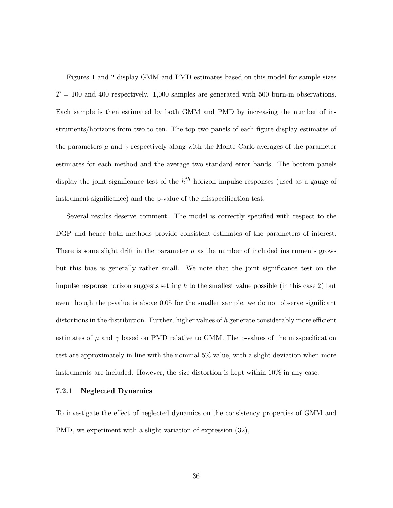Figures 1 and 2 display GMM and PMD estimates based on this model for sample sizes  $T = 100$  and 400 respectively. 1,000 samples are generated with 500 burn-in observations. Each sample is then estimated by both GMM and PMD by increasing the number of instruments/horizons from two to ten. The top two panels of each figure display estimates of the parameters  $\mu$  and  $\gamma$  respectively along with the Monte Carlo averages of the parameter estimates for each method and the average two standard error bands. The bottom panels display the joint significance test of the  $h^{th}$  horizon impulse responses (used as a gauge of instrument significance) and the p-value of the misspecification test.

Several results deserve comment. The model is correctly specified with respect to the DGP and hence both methods provide consistent estimates of the parameters of interest. There is some slight drift in the parameter  $\mu$  as the number of included instruments grows but this bias is generally rather small. We note that the joint significance test on the impulse response horizon suggests setting  $h$  to the smallest value possible (in this case 2) but even though the p-value is above 0.05 for the smaller sample, we do not observe significant distortions in the distribution. Further, higher values of  $h$  generate considerably more efficient estimates of  $\mu$  and  $\gamma$  based on PMD relative to GMM. The p-values of the misspecification test are approximately in line with the nominal 5% value, with a slight deviation when more instruments are included. However, the size distortion is kept within 10% in any case.

#### 7.2.1 Neglected Dynamics

To investigate the effect of neglected dynamics on the consistency properties of GMM and PMD, we experiment with a slight variation of expression (32),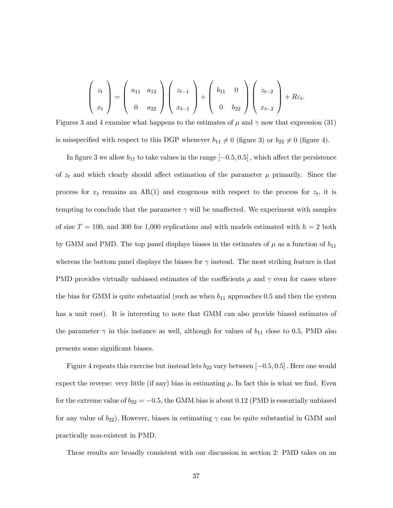$$
\begin{pmatrix} z_t \\ x_t \end{pmatrix} = \begin{pmatrix} a_{11} & a_{12} \\ 0 & a_{22} \end{pmatrix} \begin{pmatrix} z_{t-1} \\ x_{t-1} \end{pmatrix} + \begin{pmatrix} b_{11} & 0 \\ 0 & b_{22} \end{pmatrix} \begin{pmatrix} z_{t-2} \\ x_{t-2} \end{pmatrix} + R\varepsilon_t.
$$

Figures 3 and 4 examine what happens to the estimates of  $\mu$  and  $\gamma$  now that expression (31) is misspecified with respect to this DGP whenever  $b_{11} \neq 0$  (figure 3) or  $b_{22} \neq 0$  (figure 4).

In figure 3 we allow  $b_{11}$  to take values in the range  $[-0.5, 0.5]$ , which affect the persistence of  $z_t$  and which clearly should affect estimation of the parameter  $\mu$  primarily. Since the process for  $x_t$  remains an AR(1) and exogenous with respect to the process for  $z_t$ , it is tempting to conclude that the parameter  $\gamma$  will be unaffected. We experiment with samples of size  $T = 100$ , and 300 for 1,000 replications and with models estimated with  $h = 2$  both by GMM and PMD. The top panel displays biases in the estimates of  $\mu$  as a function of  $b_{11}$ whereas the bottom panel displays the biases for  $\gamma$  instead. The most striking feature is that PMD provides virtually unbiased estimates of the coefficients  $\mu$  and  $\gamma$  even for cases where the bias for GMM is quite substantial (such as when  $b_{11}$  approaches 0.5 and then the system has a unit root). It is interesting to note that GMM can also provide biased estimates of the parameter  $\gamma$  in this instance as well, although for values of  $b_{11}$  close to 0.5, PMD also presents some significant biases.

Figure 4 repeats this exercise but instead lets  $b_{22}$  vary between  $[-0.5, 0.5]$ . Here one would expect the reverse: very little (if any) bias in estimating  $\mu$ . In fact this is what we find. Even for the extreme value of  $b_{22} = -0.5$ , the GMM bias is about 0.12 (PMD is essentially unbiased for any value of  $b_{22}$ ). However, biases in estimating  $\gamma$  can be quite substantial in GMM and practically non-existent in PMD.

These results are broadly consistent with our discussion in section 2: PMD takes on an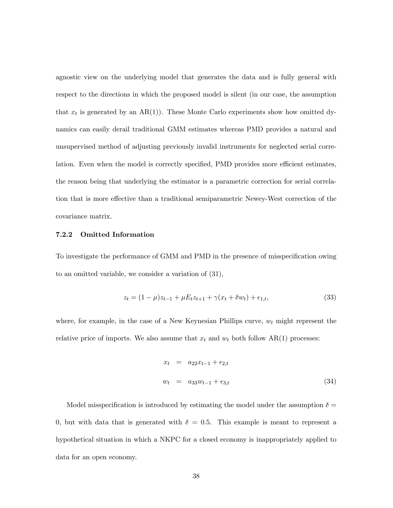agnostic view on the underlying model that generates the data and is fully general with respect to the directions in which the proposed model is silent (in our case, the assumption that  $x_t$  is generated by an AR(1)). These Monte Carlo experiments show how omitted dynamics can easily derail traditional GMM estimates whereas PMD provides a natural and unsupervised method of adjusting previously invalid instruments for neglected serial correlation. Even when the model is correctly specified, PMD provides more efficient estimates, the reason being that underlying the estimator is a parametric correction for serial correlation that is more effective than a traditional semiparametric Newey-West correction of the covariance matrix.

#### 7.2.2 Omitted Information

To investigate the performance of GMM and PMD in the presence of misspecification owing to an omitted variable, we consider a variation of (31),

$$
z_t = (1 - \mu)z_{t-1} + \mu E_t z_{t+1} + \gamma (x_t + \delta w_t) + \epsilon_{1,t},
$$
\n(33)

where, for example, in the case of a New Keynesian Phillips curve,  $w_t$  might represent the relative price of imports. We also assume that  $x_t$  and  $w_t$  both follow AR(1) processes:

$$
x_t = a_{22}x_{t-1} + \epsilon_{2,t}
$$
  

$$
w_t = a_{33}w_{t-1} + \epsilon_{3,t}
$$
 (34)

Model misspecification is introduced by estimating the model under the assumption  $\delta =$ 0, but with data that is generated with  $\delta = 0.5$ . This example is meant to represent a hypothetical situation in which a NKPC for a closed economy is inappropriately applied to data for an open economy.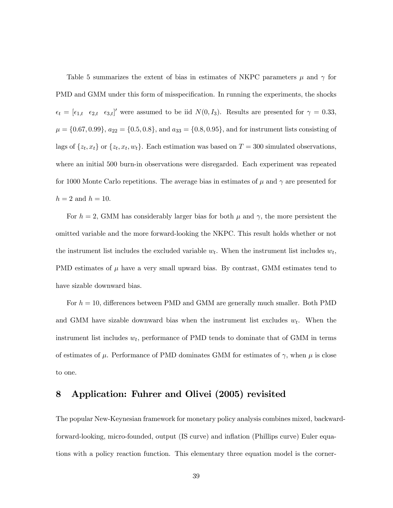Table 5 summarizes the extent of bias in estimates of NKPC parameters  $\mu$  and  $\gamma$  for PMD and GMM under this form of misspecification. In running the experiments, the shocks  $\epsilon_t = [\epsilon_{1,t} \quad \epsilon_{2,t} \quad \epsilon_{3,t}]'$  were assumed to be iid  $N(0, I_3)$ . Results are presented for  $\gamma = 0.33$ ,  $\mu = \{0.67, 0.99\}, \ a_{22} = \{0.5, 0.8\}, \text{ and } a_{33} = \{0.8, 0.95\}, \text{ and for instrument lists consisting of }$ lags of  $\{z_t, x_t\}$  or  $\{z_t, x_t, w_t\}$ . Each estimation was based on  $T = 300$  simulated observations, where an initial 500 burn-in observations were disregarded. Each experiment was repeated for 1000 Monte Carlo repetitions. The average bias in estimates of  $\mu$  and  $\gamma$  are presented for  $h = 2$  and  $h = 10$ .

For  $h = 2$ , GMM has considerably larger bias for both  $\mu$  and  $\gamma$ , the more persistent the omitted variable and the more forward-looking the NKPC. This result holds whether or not the instrument list includes the excluded variable  $w_t$ . When the instrument list includes  $w_t$ , PMD estimates of  $\mu$  have a very small upward bias. By contrast, GMM estimates tend to have sizable downward bias.

For  $h = 10$ , differences between PMD and GMM are generally much smaller. Both PMD and GMM have sizable downward bias when the instrument list excludes  $w_t$ . When the instrument list includes  $w_t$ , performance of PMD tends to dominate that of GMM in terms of estimates of  $\mu$ . Performance of PMD dominates GMM for estimates of  $\gamma$ , when  $\mu$  is close to one.

## 8 Application: Fuhrer and Olivei (2005) revisited

The popular New-Keynesian framework for monetary policy analysis combines mixed, backwardforward-looking, micro-founded, output (IS curve) and inflation (Phillips curve) Euler equations with a policy reaction function. This elementary three equation model is the corner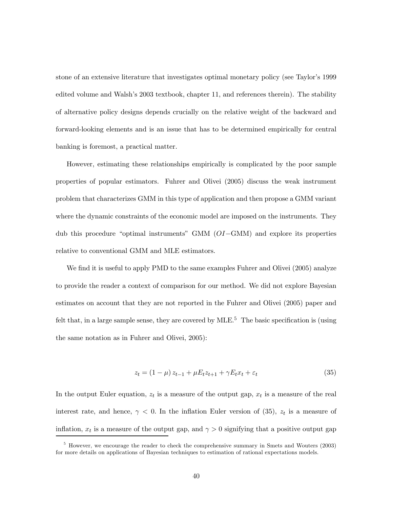stone of an extensive literature that investigates optimal monetary policy (see Taylor's 1999 edited volume and Walsh's 2003 textbook, chapter 11, and references therein). The stability of alternative policy designs depends crucially on the relative weight of the backward and forward-looking elements and is an issue that has to be determined empirically for central banking is foremost, a practical matter.

However, estimating these relationships empirically is complicated by the poor sample properties of popular estimators. Fuhrer and Olivei (2005) discuss the weak instrument problem that characterizes GMM in this type of application and then propose a GMM variant where the dynamic constraints of the economic model are imposed on the instruments. They dub this procedure "optimal instruments" GMM (OI−GMM) and explore its properties relative to conventional GMM and MLE estimators.

We find it is useful to apply PMD to the same examples Fuhrer and Olivei (2005) analyze to provide the reader a context of comparison for our method. We did not explore Bayesian estimates on account that they are not reported in the Fuhrer and Olivei (2005) paper and felt that, in a large sample sense, they are covered by  $MLE<sup>5</sup>$ . The basic specification is (using the same notation as in Fuhrer and Olivei, 2005):

$$
z_t = (1 - \mu) z_{t-1} + \mu E_t z_{t+1} + \gamma E_t x_t + \varepsilon_t \tag{35}
$$

In the output Euler equation,  $z_t$  is a measure of the output gap,  $x_t$  is a measure of the real interest rate, and hence,  $\gamma$  < 0. In the inflation Euler version of (35),  $z_t$  is a measure of inflation,  $x_t$  is a measure of the output gap, and  $\gamma > 0$  signifying that a positive output gap

<sup>&</sup>lt;sup>5</sup> However, we encourage the reader to check the comprehensive summary in Smets and Wouters (2003) for more details on applications of Bayesian techniques to estimation of rational expectations models.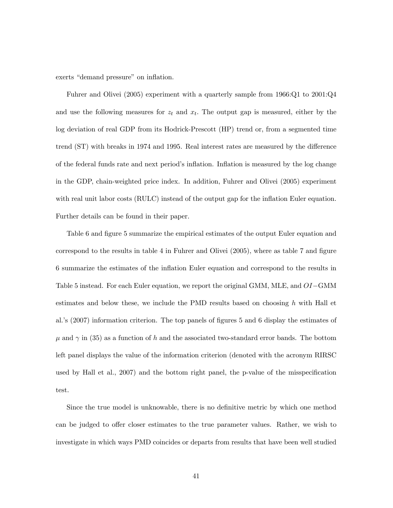exerts "demand pressure" on inflation.

Fuhrer and Olivei (2005) experiment with a quarterly sample from 1966:Q1 to 2001:Q4 and use the following measures for  $z_t$  and  $x_t$ . The output gap is measured, either by the log deviation of real GDP from its Hodrick-Prescott (HP) trend or, from a segmented time trend (ST) with breaks in 1974 and 1995. Real interest rates are measured by the difference of the federal funds rate and next period's inflation. Inflation is measured by the log change in the GDP, chain-weighted price index. In addition, Fuhrer and Olivei (2005) experiment with real unit labor costs (RULC) instead of the output gap for the inflation Euler equation. Further details can be found in their paper.

Table 6 and figure 5 summarize the empirical estimates of the output Euler equation and correspond to the results in table 4 in Fuhrer and Olivei (2005), where as table 7 and figure 6 summarize the estimates of the inflation Euler equation and correspond to the results in Table 5 instead. For each Euler equation, we report the original GMM, MLE, and OI−GMM estimates and below these, we include the PMD results based on choosing  $h$  with Hall et al.'s (2007) information criterion. The top panels of figures 5 and 6 display the estimates of  $\mu$  and  $\gamma$  in (35) as a function of h and the associated two-standard error bands. The bottom left panel displays the value of the information criterion (denoted with the acronym RIRSC used by Hall et al., 2007) and the bottom right panel, the p-value of the misspecification test.

Since the true model is unknowable, there is no definitive metric by which one method can be judged to offer closer estimates to the true parameter values. Rather, we wish to investigate in which ways PMD coincides or departs from results that have been well studied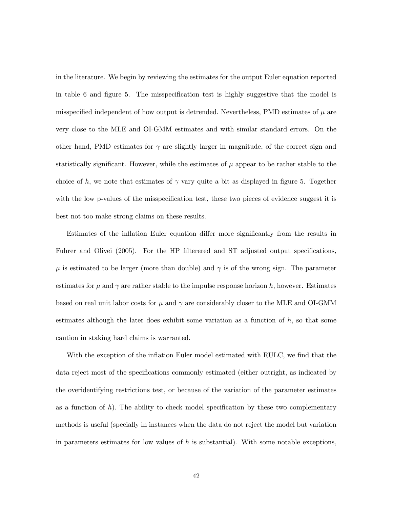in the literature. We begin by reviewing the estimates for the output Euler equation reported in table 6 and figure 5. The misspecification test is highly suggestive that the model is misspecified independent of how output is detrended. Nevertheless, PMD estimates of  $\mu$  are very close to the MLE and OI-GMM estimates and with similar standard errors. On the other hand, PMD estimates for  $\gamma$  are slightly larger in magnitude, of the correct sign and statistically significant. However, while the estimates of  $\mu$  appear to be rather stable to the choice of h, we note that estimates of  $\gamma$  vary quite a bit as displayed in figure 5. Together with the low p-values of the misspecification test, these two pieces of evidence suggest it is best not too make strong claims on these results.

Estimates of the inflation Euler equation differ more significantly from the results in Fuhrer and Olivei (2005). For the HP filterered and ST adjusted output specifications,  $\mu$  is estimated to be larger (more than double) and  $\gamma$  is of the wrong sign. The parameter estimates for  $\mu$  and  $\gamma$  are rather stable to the impulse response horizon h, however. Estimates based on real unit labor costs for  $\mu$  and  $\gamma$  are considerably closer to the MLE and OI-GMM estimates although the later does exhibit some variation as a function of  $h$ , so that some caution in staking hard claims is warranted.

With the exception of the inflation Euler model estimated with RULC, we find that the data reject most of the specifications commonly estimated (either outright, as indicated by the overidentifying restrictions test, or because of the variation of the parameter estimates as a function of h). The ability to check model specification by these two complementary methods is useful (specially in instances when the data do not reject the model but variation in parameters estimates for low values of  $h$  is substantial). With some notable exceptions,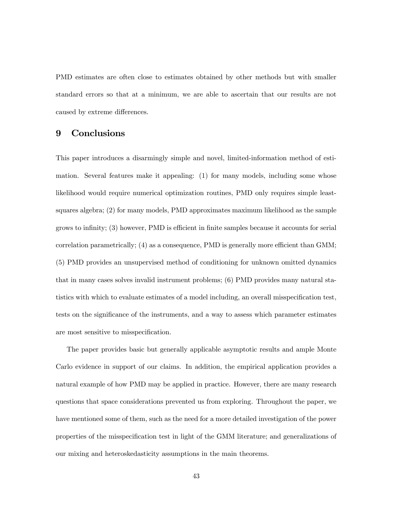PMD estimates are often close to estimates obtained by other methods but with smaller standard errors so that at a minimum, we are able to ascertain that our results are not caused by extreme differences.

## 9 Conclusions

This paper introduces a disarmingly simple and novel, limited-information method of estimation. Several features make it appealing: (1) for many models, including some whose likelihood would require numerical optimization routines, PMD only requires simple leastsquares algebra; (2) for many models, PMD approximates maximum likelihood as the sample grows to infinity; (3) however, PMD is efficient in finite samples because it accounts for serial correlation parametrically; (4) as a consequence, PMD is generally more efficient than GMM; (5) PMD provides an unsupervised method of conditioning for unknown omitted dynamics that in many cases solves invalid instrument problems; (6) PMD provides many natural statistics with which to evaluate estimates of a model including, an overall misspecification test, tests on the significance of the instruments, and a way to assess which parameter estimates are most sensitive to misspecification.

The paper provides basic but generally applicable asymptotic results and ample Monte Carlo evidence in support of our claims. In addition, the empirical application provides a natural example of how PMD may be applied in practice. However, there are many research questions that space considerations prevented us from exploring. Throughout the paper, we have mentioned some of them, such as the need for a more detailed investigation of the power properties of the misspecification test in light of the GMM literature; and generalizations of our mixing and heteroskedasticity assumptions in the main theorems.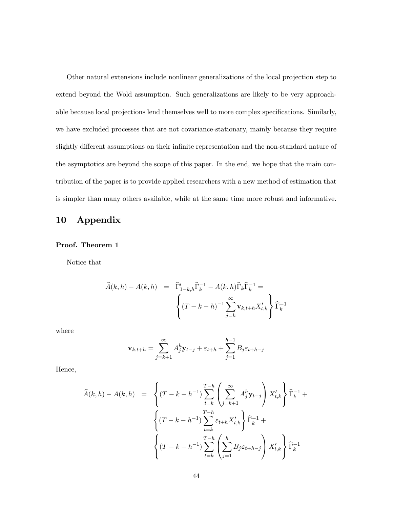Other natural extensions include nonlinear generalizations of the local projection step to extend beyond the Wold assumption. Such generalizations are likely to be very approachable because local projections lend themselves well to more complex specifications. Similarly, we have excluded processes that are not covariance-stationary, mainly because they require slightly different assumptions on their infinite representation and the non-standard nature of the asymptotics are beyond the scope of this paper. In the end, we hope that the main contribution of the paper is to provide applied researchers with a new method of estimation that is simpler than many others available, while at the same time more robust and informative.

## 10 Appendix

#### Proof. Theorem 1

Notice that

$$
\widehat{A}(k,h) - A(k,h) = \widehat{\Gamma}'_{1-k,h} \widehat{\Gamma}_k^{-1} - A(k,h) \widehat{\Gamma}_k \widehat{\Gamma}_k^{-1} = \left\{ (T-k-h)^{-1} \sum_{j=k}^{\infty} \mathbf{v}_{k,t+h} X'_{t,k} \right\} \widehat{\Gamma}_k^{-1}
$$

where

$$
\mathbf{v}_{k,t+h} = \sum_{j=k+1}^{\infty} A_j^h \mathbf{y}_{t-j} + \varepsilon_{t+h} + \sum_{j=1}^{h-1} B_j \varepsilon_{t+h-j}
$$

Hence,

$$
\widehat{A}(k,h) - A(k,h) = \left\{ (T - k - h^{-1}) \sum_{t=k}^{T-h} \left( \sum_{j=k+1}^{\infty} A_j^h \mathbf{y}_{t-j} \right) X'_{t,k} \right\} \widehat{\Gamma}_k^{-1} + \left\{ (T - k - h^{-1}) \sum_{t=k}^{T-h} \varepsilon_{t+h} X'_{t,k} \right\} \widehat{\Gamma}_k^{-1} + \left\{ (T - k - h^{-1}) \sum_{t=k}^{T-h} \left( \sum_{j=1}^h B_j \varepsilon_{t+h-j} \right) X'_{t,k} \right\} \widehat{\Gamma}_k^{-1}
$$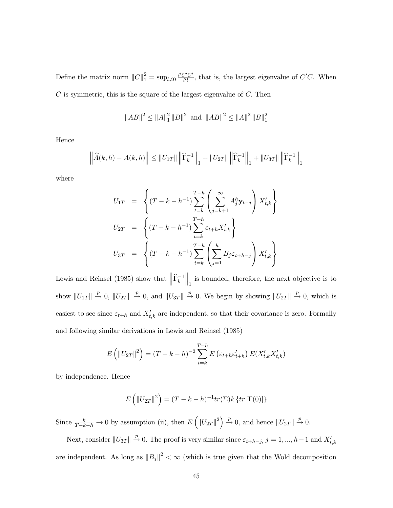Define the matrix norm  $||C||_1^2 = \sup_{l \neq 0} \frac{l'C'C'}{l'l}$ , that is, the largest eigenvalue of  $C'C$ . When  $C$  is symmetric, this is the square of the largest eigenvalue of  $C$ . Then

$$
||AB||^2 \le ||A||_1^2 ||B||^2 \text{ and } ||AB||^2 \le ||A||^2 ||B||_1^2
$$

Hence

$$
\left\| \widehat{A}(k,h) - A(k,h) \right\| \leq \|U_{1T}\| \left\| \widehat{\Gamma}_{k}^{-1} \right\|_{1} + \|U_{2T}\| \left\| \widehat{\Gamma}_{k}^{-1} \right\|_{1} + \|U_{3T}\| \left\| \widehat{\Gamma}_{k}^{-1} \right\|_{1}
$$

where

$$
U_{1T} = \left\{ (T - k - h^{-1}) \sum_{t=k}^{T-h} \left( \sum_{j=k+1}^{\infty} A_j^h \mathbf{y}_{t-j} \right) X'_{t,k} \right\}
$$
  

$$
U_{2T} = \left\{ (T - k - h^{-1}) \sum_{t=k}^{T-h} \varepsilon_{t+h} X'_{t,k} \right\}
$$
  

$$
U_{3T} = \left\{ (T - k - h^{-1}) \sum_{t=k}^{T-h} \left( \sum_{j=1}^h B_j \varepsilon_{t+h-j} \right) X'_{t,k} \right\}
$$

Lewis and Reinsel (1985) show that  $\left\|\widehat{\Gamma}_{k}^{-1}\right\|$  $\left\| \begin{matrix} 1 \end{matrix} \right\|_1$  is bounded, therefore, the next objective is to show  $||U_{1T}|| \stackrel{p}{\rightarrow} 0$ ,  $||U_{2T}|| \stackrel{p}{\rightarrow} 0$ , and  $||U_{3T}|| \stackrel{p}{\rightarrow} 0$ . We begin by showing  $||U_{2T}|| \stackrel{p}{\rightarrow} 0$ , which is easiest to see since  $\varepsilon_{t+h}$  and  $X'_{t,k}$  are independent, so that their covariance is zero. Formally and following similar derivations in Lewis and Reinsel (1985)

$$
E(|U_{2T}|^{2}) = (T - k - h)^{-2} \sum_{t=k}^{T-h} E(\varepsilon_{t+h} \varepsilon'_{t+h}) E(X'_{t,k} X'_{t,k})
$$

by independence. Hence

$$
E\left(\left\|U_{2T}\right\|^2\right) = (T - k - h)^{-1}tr(\Sigma)k \left\{tr\left[\Gamma(0)\right]\right\}
$$

Since  $\frac{k}{T-k-h} \to 0$  by assumption (ii), then  $E([|U_{2T}|^2]) \to 0$ , and hence  $||U_{2T}|| \to 0$ .

Next, consider  $||U_{3T}|| \stackrel{p}{\rightarrow} 0$ . The proof is very similar since  $\varepsilon_{t+h-j}$ ,  $j = 1, ..., h-1$  and  $X'_{t,k}$ are independent. As long as  $||B_j||^2 < \infty$  (which is true given that the Wold decomposition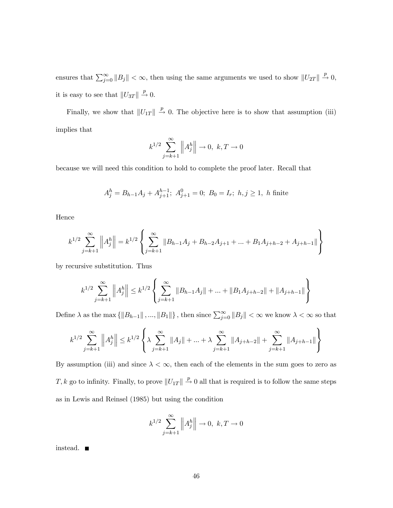ensures that  $\sum_{j=0}^{\infty} ||B_j|| < \infty$ , then using the same arguments we used to show  $||U_{2T}|| \stackrel{p}{\rightarrow} 0$ , it is easy to see that  $||U_{3T}|| \stackrel{p}{\rightarrow} 0$ .

Finally, we show that  $||U_{1T}|| \stackrel{p}{\rightarrow} 0$ . The objective here is to show that assumption (iii) implies that

$$
k^{1/2} \sum_{j=k+1}^{\infty} ||A_j^h|| \to 0, \ k, T \to 0
$$

because we will need this condition to hold to complete the proof later. Recall that

$$
A_j^h = B_{h-1}A_j + A_{j+1}^{h-1}; \ A_{j+1}^0 = 0; \ B_0 = I_r; \ h, j \ge 1, \ h \ \text{finite}
$$

Hence

$$
k^{1/2} \sum_{j=k+1}^{\infty} ||A_j^h|| = k^{1/2} \left\{ \sum_{j=k+1}^{\infty} ||B_{h-1}A_j + B_{h-2}A_{j+1} + ... + B_1A_{j+h-2} + A_{j+h-1}|| \right\}
$$

by recursive substitution. Thus

$$
k^{1/2} \sum_{j=k+1}^{\infty} \left\| A_j^h \right\| \le k^{1/2} \left\{ \sum_{j=k+1}^{\infty} \left\| B_{h-1} A_j \right\| + \dots + \left\| B_1 A_{j+h-2} \right\| + \left\| A_{j+h-1} \right\| \right\}
$$

Define  $\lambda$  as the max  $\{\|B_{h-1}\|, ..., \|B_1\|\}$ , then since  $\sum_{j=0}^{\infty} \|B_j\| < \infty$  we know  $\lambda < \infty$  so that

$$
k^{1/2} \sum_{j=k+1}^{\infty} \left\| A_j^h \right\| \le k^{1/2} \left\{ \lambda \sum_{j=k+1}^{\infty} \| A_j \| + \ldots + \lambda \sum_{j=k+1}^{\infty} \| A_{j+h-2} \| + \sum_{j=k+1}^{\infty} \| A_{j+h-1} \| \right\}
$$

By assumption (iii) and since  $\lambda < \infty$ , then each of the elements in the sum goes to zero as T, k go to infinity. Finally, to prove  $||U_{1T}|| \stackrel{p}{\rightarrow} 0$  all that is required is to follow the same steps as in Lewis and Reinsel (1985) but using the condition

$$
k^{1/2} \sum_{j=k+1}^{\infty} ||A_j^h|| \to 0, \ k, T \to 0
$$

instead.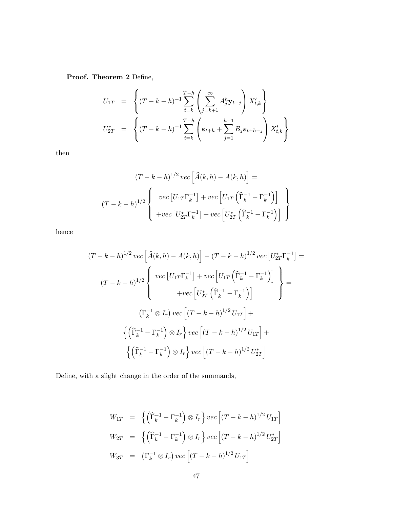Proof. Theorem 2 Define,

$$
U_{1T} = \left\{ (T - k - h)^{-1} \sum_{t=k}^{T-h} \left( \sum_{j=k+1}^{\infty} A_j^h \mathbf{y}_{t-j} \right) X'_{t,k} \right\}
$$
  

$$
U_{2T}^* = \left\{ (T - k - h)^{-1} \sum_{t=k}^{T-h} \left( \varepsilon_{t+h} + \sum_{j=1}^{h-1} B_j \varepsilon_{t+h-j} \right) X'_{t,k} \right\}
$$

then

$$
(T - k - h)^{1/2} \operatorname{vec}\left[\hat{A}(k, h) - A(k, h)\right] =
$$

$$
(T - k - h)^{1/2} \left\{\begin{array}{l}\operatorname{vec}\left[U_{1T}\Gamma_{k}^{-1}\right] + \operatorname{vec}\left[U_{1T}\left(\widehat{\Gamma}_{k}^{-1} - \Gamma_{k}^{-1}\right)\right] \\ + \operatorname{vec}\left[U_{2T}^{*}\Gamma_{k}^{-1}\right] + \operatorname{vec}\left[U_{2T}^{*}\left(\widehat{\Gamma}_{k}^{-1} - \Gamma_{k}^{-1}\right)\right] \end{array}\right\}
$$

hence

$$
(T - k - h)^{1/2} \, vec\left[\hat{A}(k, h) - A(k, h)\right] - (T - k - h)^{1/2} \, vec\left[U_{2T}^* \Gamma_k^{-1}\right] =
$$
\n
$$
(T - k - h)^{1/2} \left\{ \begin{array}{c} vec\left[U_{1T} \Gamma_k^{-1}\right] + vec\left[U_{1T} \left(\hat{\Gamma}_k^{-1} - \Gamma_k^{-1}\right)\right] \\ + vec\left[U_{2T}^* \left(\hat{\Gamma}_k^{-1} - \Gamma_k^{-1}\right)\right] \end{array} \right\} =
$$
\n
$$
\left(\Gamma_k^{-1} \otimes I_r\right) vec\left[(T - k - h)^{1/2} U_{1T}\right] +
$$
\n
$$
\left\{\left(\hat{\Gamma}_k^{-1} - \Gamma_k^{-1}\right) \otimes I_r\right\} vec\left[(T - k - h)^{1/2} U_{1T}\right] +
$$
\n
$$
\left\{\left(\hat{\Gamma}_k^{-1} - \Gamma_k^{-1}\right) \otimes I_r\right\} vec\left[(T - k - h)^{1/2} U_{2T}\right]
$$

Define, with a slight change in the order of the summands,

$$
W_{1T} = \left\{ \left( \widehat{\Gamma}_{k}^{-1} - \Gamma_{k}^{-1} \right) \otimes I_{r} \right\} vec \left[ (T - k - h)^{1/2} U_{1T} \right]
$$
  
\n
$$
W_{2T} = \left\{ \left( \widehat{\Gamma}_{k}^{-1} - \Gamma_{k}^{-1} \right) \otimes I_{r} \right\} vec \left[ (T - k - h)^{1/2} U_{2T}^{*} \right]
$$
  
\n
$$
W_{3T} = \left( \Gamma_{k}^{-1} \otimes I_{r} \right) vec \left[ (T - k - h)^{1/2} U_{1T} \right]
$$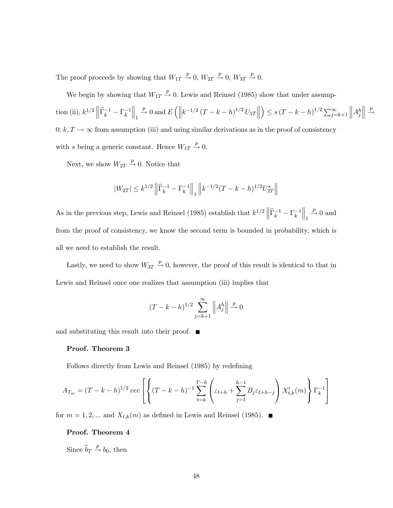The proof proceeds by showing that  $W_{1T} \stackrel{p}{\rightarrow} 0$ ,  $W_{2T} \stackrel{p}{\rightarrow} 0$ ,  $W_{3T} \stackrel{p}{\rightarrow} 0$ .

We begin by showing that  $W_{1T} \stackrel{p}{\rightarrow} 0$ . Lewis and Reinsel (1985) show that under assumption (ii),  $k^{1/2} \|\hat{\Gamma}_k^{-1} - \Gamma_k^{-1}$  $\Big\|_1$  $\stackrel{p}{\rightarrow} 0$  and  $E\left(\left\|k^{-1/2}\left(T-k-h\right)^{1/2}U_{1T}\right\| \right)$  $\Big) \leq s (T - k - h)^{1/2} \sum_{j=k+1}^{\infty}$  $\Big\|A_j^h$  $\begin{array}{|c|c|} \hline \hline \multicolumn{1}{|c|}{3} & \multicolumn{1}{|c|}{5} \\\hline \multicolumn{1}{|c|}{5} & \multicolumn{1}{|c|}{5} & \multicolumn{1}{|c|}{5} \\\hline \multicolumn{1}{|c|}{5} & \multicolumn{1}{|c|}{5} & \multicolumn{1}{|c|}{5} & \multicolumn{1}{|c|}{5} \\\hline \multicolumn{1}{|c|}{5} & \multicolumn{1}{|c|}{5} & \multicolumn{1}{|c|}{5} & \multicolumn{1}{|c|}{5} & \multicolumn{1}{|c|}{5$ p  $\rightarrow$ 0;  $k, T \rightarrow \infty$  from assumption (iii) and using similar derivations as in the proof of consistency with s being a generic constant. Hence  $W_{1T} \stackrel{p}{\rightarrow} 0$ .

Next, we show  $W_{2T} \stackrel{p}{\rightarrow} 0$ . Notice that

$$
|W_{2T}| \le k^{1/2} \left\| \widehat{\Gamma}_k^{-1} - \Gamma_k^{-1} \right\|_1 \left\| k^{-1/2} (T - k - h)^{1/2} U_{2T}^* \right\|
$$

As in the previous step, Lewis and Reinsel (1985) establish that  $k^{1/2} \left\| \widehat{\Gamma}_k^{-1} - \Gamma_k^{-1} \right\|$  $\Big\|_1$  $\stackrel{p}{\rightarrow} 0$  and from the proof of consistency, we know the second term is bounded in probability, which is all we need to establish the result.

Lastly, we need to show  $W_{3T} \stackrel{p}{\rightarrow} 0$ , however, the proof of this result is identical to that in Lewis and Reinsel once one realizes that assumption (iii) implies that

$$
(T - k - h)^{1/2} \sum_{j=k+1}^{\infty} \left\| A_j^h \right\| \stackrel{p}{\to} 0
$$

and substituting this result into their proof.  $\blacksquare$ 

#### Proof. Theorem 3

Follows directly from Lewis and Reinsel (1985) by redefining

$$
A_{T_m} = (T - k - h)^{1/2} \, vec \left[ \left\{ (T - k - h)^{-1} \sum_{t=k}^{T-h} \left( \varepsilon_{t+h} + \sum_{j=1}^{h-1} B_j \varepsilon_{t+h-j} \right) X'_{t,k}(m) \right\} \Gamma_k^{-1} \right]
$$

for  $m = 1, 2, ...$  and  $X_{t,k}(m)$  as defined in Lewis and Reinsel (1985).

#### Proof. Theorem 4

Since  $\widehat{b}_T \stackrel{p}{\rightarrow} b_0$ , then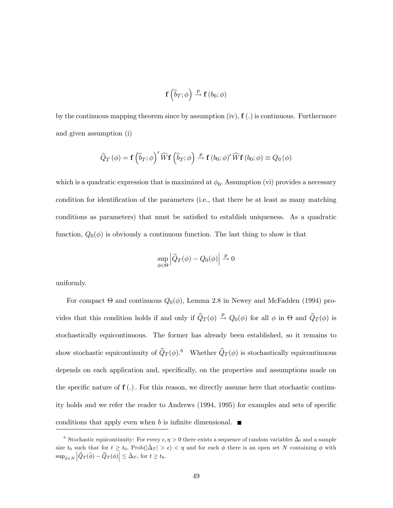$$
\mathbf{f}\left(\widehat{b}_{T};\phi\right)\xrightarrow{p}\mathbf{f}\left(b_{0};\phi\right)
$$

by the continuous mapping theorem since by assumption  $(iv)$ ,  $f(.)$  is continuous. Furthermore and given assumption (i)

$$
\widehat{Q}_T(\phi) = \mathbf{f}\left(\widehat{b}_T;\phi\right)' \widehat{W} \mathbf{f}\left(\widehat{b}_T;\phi\right) \xrightarrow{p} \mathbf{f}\left(b_0;\phi\right)' \widehat{W} \mathbf{f}\left(b_0;\phi\right) \equiv Q_0(\phi)
$$

which is a quadratic expression that is maximized at  $\phi_0$ . Assumption (vi) provides a necessary condition for identification of the parameters (i.e., that there be at least as many matching conditions as parameters) that must be satisfied to establish uniqueness. As a quadratic function,  $Q_0(\phi)$  is obviously a continuous function. The last thing to show is that

$$
\sup_{\phi \in \Theta} \left| \widehat{Q}_T(\phi) - Q_0(\phi) \right| \xrightarrow{p} 0
$$

uniformly.

For compact  $\Theta$  and continuous  $Q_0(\phi)$ , Lemma 2.8 in Newey and McFadden (1994) provides that this condition holds if and only if  $\hat{Q}_T (\phi) \stackrel{p}{\rightarrow} Q_0(\phi)$  for all  $\phi$  in  $\Theta$  and  $\hat{Q}_T (\phi)$  is stochastically equicontinuous. The former has already been established, so it remains to show stochastic equicontinuity of  $\hat{Q}_T (\phi)$ .<sup>6</sup> Whether  $\hat{Q}_T (\phi)$  is stochastically equicontinuous depends on each application and, specifically, on the properties and assumptions made on the specific nature of  $f(.)$ . For this reason, we directly assume here that stochastic continuity holds and we refer the reader to Andrews (1994, 1995) for examples and sets of specific conditions that apply even when b is infinite dimensional.  $\blacksquare$ 

<sup>&</sup>lt;sup>6</sup> Stochastic equicontinuity: For every  $\epsilon, \eta > 0$  there exists a sequence of random variables  $\hat{\Delta}_t$  and a sample size  $t_0$  such that for  $t \geq t_0$ , Prob $(|\hat{\Delta}_T| > \epsilon) < \eta$  and for each  $\phi$  there is an open set N containing  $\phi$  with  $\sup_{\tilde{\phi}\in N} \left| \widehat{Q}_T(\tilde{\phi}) - \widehat{Q}_T(\phi) \right| \leq \hat{\Delta}_T, \text{ for } t \geq t_0.$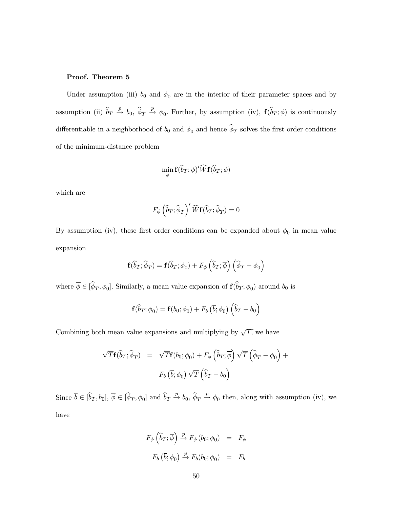#### Proof. Theorem 5

Under assumption (iii)  $b_0$  and  $\phi_0$  are in the interior of their parameter spaces and by assumption (ii)  $\hat{b}_T \stackrel{p}{\rightarrow} b_0$ ,  $\hat{\phi}_T \stackrel{p}{\rightarrow} \phi_0$ . Further, by assumption (iv),  $\mathbf{f}(\hat{b}_T;\phi)$  is continuously differentiable in a neighborhood of  $b_0$  and  $\phi_0$  and hence  $\hat{\phi}_T$  solves the first order conditions of the minimum-distance problem

$$
\min_{\phi} \mathbf{f}(\widehat{b}_{T};\phi)'\widehat{W}\mathbf{f}(\widehat{b}_{T};\phi)
$$

which are

$$
F_{\phi}\left(\widehat{b}_{T};\widehat{\phi}_{T}\right)'\widehat{W}\mathbf{f}(\widehat{b}_{T};\widehat{\phi}_{T})=0
$$

By assumption (iv), these first order conditions can be expanded about  $\phi_0$  in mean value expansion

$$
\mathbf{f}(\widehat{b}_T; \widehat{\phi}_T) = \mathbf{f}(\widehat{b}_T; \phi_0) + F_{\phi}\left(\widehat{b}_T; \overline{\phi}\right)\left(\widehat{\phi}_T - \phi_0\right)
$$

where  $\overline{\phi} \in [\hat{\phi}_T, \phi_0]$ . Similarly, a mean value expansion of  $f(\hat{b}_T; \phi_0)$  around  $b_0$  is

$$
\mathbf{f}(\widehat{b}_T;\phi_0) = \mathbf{f}(b_0;\phi_0) + F_b(\overline{b};\phi_0) (\widehat{b}_T - b_0)
$$

Combining both mean value expansions and multiplying by  $\sqrt{T}$ , we have

$$
\sqrt{T} \mathbf{f}(\hat{b}_T; \hat{\phi}_T) = \sqrt{T} \mathbf{f}(b_0; \phi_0) + F_{\phi}(\hat{b}_T; \overline{\phi}) \sqrt{T} (\hat{\phi}_T - \phi_0) + F_b(\overline{b}; \phi_0) \sqrt{T} (\hat{b}_T - b_0)
$$

Since  $\overline{b} \in [\widehat{b}_T, b_0], \overline{\phi} \in [\widehat{\phi}_T, \phi_0]$  and  $\widehat{b}_T \stackrel{p}{\to} b_0, \widehat{\phi}_T \stackrel{p}{\to} \phi_0$  then, along with assumption (iv), we have

$$
F_{\phi}\left(\widehat{b}_{T}; \overline{\phi}\right) \xrightarrow{p} F_{\phi}\left(b_{0}; \phi_{0}\right) = F_{\phi}
$$

$$
F_{b}\left(\overline{b}; \phi_{0}\right) \xrightarrow{p} F_{b}\left(b_{0}; \phi_{0}\right) = F_{b}
$$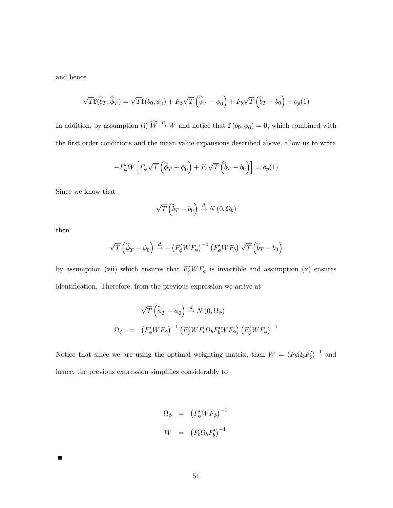and hence

$$
\sqrt{T}\mathbf{f}(\widehat{b}_T;\widehat{\phi}_T) = \sqrt{T}\mathbf{f}(b_0;\phi_0) + F_{\phi}\sqrt{T}\left(\widehat{\phi}_T - \phi_0\right) + F_b\sqrt{T}\left(\widehat{b}_T - b_0\right) + o_p(1)
$$

In addition, by assumption (i)  $\widehat{W} \stackrel{p}{\rightarrow} W$  and notice that  $f(b_0, \phi_0) = 0$ , which combined with the first order conditions and the mean value expansions described above, allow us to write

$$
-F'_{\phi}W\left[F_{\phi}\sqrt{T}\left(\widehat{\phi}_T-\phi_0\right)+F_b\sqrt{T}\left(\widehat{b}_T-b_0\right)\right]=o_p(1)
$$

Since we know that

$$
\sqrt{T}\left(\widehat{b}_T - b_0\right) \xrightarrow{d} N\left(0, \Omega_b\right)
$$

then

 $\blacksquare$ 

$$
\sqrt{T}\left(\widehat{\phi}_T-\phi_0\right)\stackrel{d}{\rightarrow}-\left(F_{\phi}'WF_{\phi}\right)^{-1}\left(F_{\phi}'WF_b\right)\sqrt{T}\left(\widehat{b}_T-b_0\right)
$$

by assumption (vii) which ensures that  $F'_{\phi}WF_{\phi}$  is invertible and assumption (x) ensures identification. Therefore, from the previous expression we arrive at

$$
\sqrt{T} \left( \widehat{\phi}_T - \phi_0 \right) \stackrel{d}{\rightarrow} N(0, \Omega_{\phi})
$$
  

$$
\Omega_{\phi} = \left( F_{\phi}' W F_{\phi} \right)^{-1} \left( F_{\phi}' W F_{b} \Omega_{b} F_{b}' W F_{\phi} \right) \left( F_{\phi}' W F_{\phi} \right)^{-1}
$$

Notice that since we are using the optimal weighting matrix, then  $W = (F_b \Omega_b F'_b)^{-1}$  and hence, the previous expression simplifies considerably to

$$
\Omega_{\phi} = (F'_{\phi}WF_{\phi})^{-1}
$$

$$
W = (F_{b}\Omega_{b}F'_{b})^{-1}
$$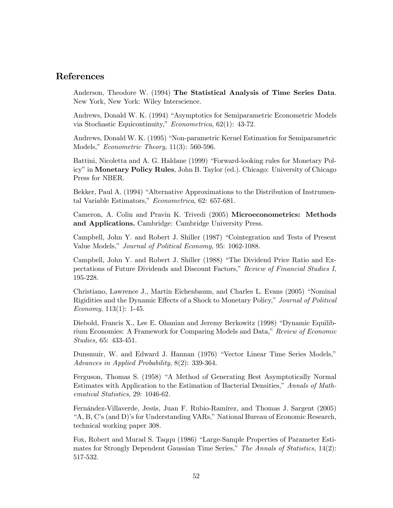## References

Anderson, Theodore W. (1994) The Statistical Analysis of Time Series Data. New York, New York: Wiley Interscience.

Andrews, Donald W. K. (1994) "Asymptotics for Semiparametric Econometric Models via Stochastic Equicontinuity," Econometrica, 62(1): 43-72.

Andrews, Donald W. K. (1995) "Non-parametric Kernel Estimation for Semiparametric Models," Econometric Theory, 11(3): 560-596.

Battini, Nicoletta and A. G. Haldane (1999) "Forward-looking rules for Monetary Policy" in Monetary Policy Rules, John B. Taylor (ed.). Chicago: University of Chicago Press for NBER.

Bekker, Paul A. (1994) "Alternative Approximations to the Distribution of Instrumental Variable Estimators," Econometrica, 62: 657-681.

Cameron, A. Colin and Pravin K. Trivedi (2005) Microeconometrics: Methods and Applications. Cambridge: Cambridge University Press.

Campbell, John Y. and Robert J. Shiller (1987) "Cointegration and Tests of Present Value Models," Journal of Political Economy, 95: 1062-1088.

Campbell, John Y. and Robert J. Shiller (1988) "The Dividend Price Ratio and Expectations of Future Dividends and Discount Factors," Review of Financial Studies I, 195-228.

Christiano, Lawrence J., Martin Eichenbaum, and Charles L. Evans (2005) "Nominal Rigidities and the Dynamic Effects of a Shock to Monetary Policy," Journal of Political Economy,  $113(1)$ : 1-45.

Diebold, Francis X., Lee E. Ohanian and Jeremy Berkowitz (1998) "Dynamic Equilibrium Economies: A Framework for Comparing Models and Data," Review of Economic Studies, 65: 433-451.

Dunsmuir, W. and Edward J. Hannan (1976) "Vector Linear Time Series Models," Advances in Applied Probability, 8(2): 339-364.

Ferguson, Thomas S. (1958) "A Method of Generating Best Asymptotically Normal Estimates with Application to the Estimation of Bacterial Densities," Annals of Mathematical Statistics, 29: 1046-62.

Fernández-Villaverde, Jesús, Juan F. Rubio-Ramírez, and Thomas J. Sargent (2005) "A, B, C's (and D)'s for Understanding VARs," National Bureau of Economic Research, technical working paper 308.

Fox, Robert and Murad S. Taqqu (1986) "Large-Sample Properties of Parameter Estimates for Strongly Dependent Gaussian Time Series," The Annals of Statistics, 14(2): 517-532.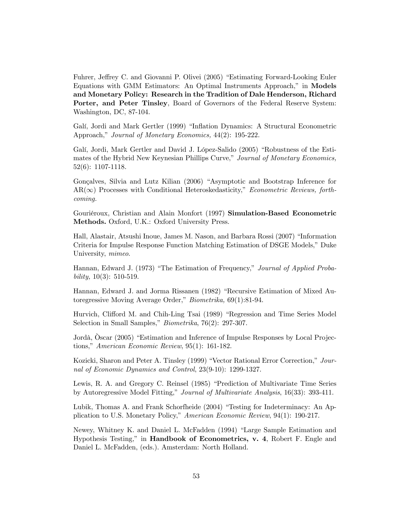Fuhrer, Jeffrey C. and Giovanni P. Olivei (2005) "Estimating Forward-Looking Euler Equations with GMM Estimators: An Optimal Instruments Approach," in Models and Monetary Policy: Research in the Tradition of Dale Henderson, Richard Porter, and Peter Tinsley, Board of Governors of the Federal Reserve System: Washington, DC, 87-104.

Galí, Jordi and Mark Gertler (1999) "Inflation Dynamics: A Structural Econometric Approach," *Journal of Monetary Economics*, 44(2): 195-222.

Galí, Jordi, Mark Gertler and David J. López-Salido (2005) "Robustness of the Estimates of the Hybrid New Keynesian Phillips Curve," Journal of Monetary Economics, 52(6): 1107-1118.

Gonçalves, Silvia and Lutz Kilian (2006) "Asymptotic and Bootstrap Inference for  $AR(\infty)$  Processes with Conditional Heteroskedasticity," *Econometric Reviews, forth*coming.

Gouriéroux, Christian and Alain Monfort (1997) Simulation-Based Econometric Methods. Oxford, U.K.: Oxford University Press.

Hall, Alastair, Atsushi Inoue, James M. Nason, and Barbara Rossi (2007) "Information Criteria for Impulse Response Function Matching Estimation of DSGE Models," Duke University, mimeo.

Hannan, Edward J. (1973) "The Estimation of Frequency," Journal of Applied Probability,  $10(3)$ : 510-519.

Hannan, Edward J. and Jorma Rissanen (1982) "Recursive Estimation of Mixed Autoregressive Moving Average Order," Biometrika, 69(1):81-94.

Hurvich, Clifford M. and Chih-Ling Tsai (1989) "Regression and Time Series Model Selection in Small Samples," Biometrika, 76(2): 297-307.

Jordà, Òscar (2005) "Estimation and Inference of Impulse Responses by Local Projections," American Economic Review, 95(1): 161-182.

Kozicki, Sharon and Peter A. Tinsley (1999) "Vector Rational Error Correction," Journal of Economic Dynamics and Control, 23(9-10): 1299-1327.

Lewis, R. A. and Gregory C. Reinsel (1985) "Prediction of Multivariate Time Series by Autoregressive Model Fitting," Journal of Multivariate Analysis, 16(33): 393-411.

Lubik, Thomas A. and Frank Schorfheide (2004) "Testing for Indeterminacy: An Application to U.S. Monetary Policy," American Economic Review, 94(1): 190-217.

Newey, Whitney K. and Daniel L. McFadden (1994) "Large Sample Estimation and Hypothesis Testing," in Handbook of Econometrics, v. 4, Robert F. Engle and Daniel L. McFadden, (eds.). Amsterdam: North Holland.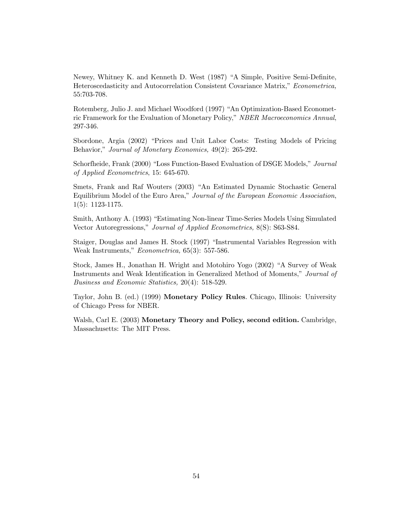Newey, Whitney K. and Kenneth D. West (1987) "A Simple, Positive Semi-Definite, Heteroscedasticity and Autocorrelation Consistent Covariance Matrix," Econometrica, 55:703-708.

Rotemberg, Julio J. and Michael Woodford (1997) "An Optimization-Based Econometric Framework for the Evaluation of Monetary Policy," NBER Macroeconomics Annual, 297-346.

Sbordone, Argia (2002) "Prices and Unit Labor Costs: Testing Models of Pricing Behavior," Journal of Monetary Economics, 49(2): 265-292.

Schorfheide, Frank (2000) "Loss Function-Based Evaluation of DSGE Models," Journal of Applied Econometrics, 15: 645-670.

Smets, Frank and Raf Wouters (2003) "An Estimated Dynamic Stochastic General Equilibrium Model of the Euro Area," Journal of the European Economic Association, 1(5): 1123-1175.

Smith, Anthony A. (1993) "Estimating Non-linear Time-Series Models Using Simulated Vector Autoregressions," Journal of Applied Econometrics, 8(S): S63-S84.

Staiger, Douglas and James H. Stock (1997) "Instrumental Variables Regression with Weak Instruments," Econometrica, 65(3): 557-586.

Stock, James H., Jonathan H. Wright and Motohiro Yogo (2002) "A Survey of Weak Instruments and Weak Identification in Generalized Method of Moments," Journal of Business and Economic Statistics, 20(4): 518-529.

Taylor, John B. (ed.) (1999) Monetary Policy Rules. Chicago, Illinois: University of Chicago Press for NBER.

Walsh, Carl E. (2003) Monetary Theory and Policy, second edition. Cambridge, Massachusetts: The MIT Press.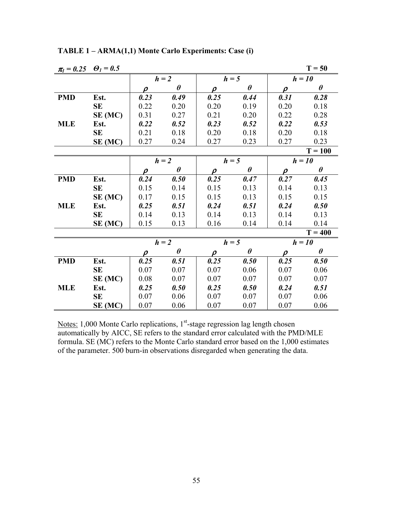| $\pi_l = 0.25$ $\Theta_l = 0.5$ |           |                     |                       |         |                       |                     | $T = 50$  |
|---------------------------------|-----------|---------------------|-----------------------|---------|-----------------------|---------------------|-----------|
|                                 |           | $h = 2$             |                       | $h = 5$ |                       |                     | $h = 10$  |
|                                 |           | $\rho$              | $\theta$              | $\rho$  | $\boldsymbol{\theta}$ | $\rho$              | $\theta$  |
| <b>PMD</b>                      | Est.      | 0.23                | 0.49                  | 0.25    | 0.44                  | 0.31                | 0.28      |
|                                 | <b>SE</b> | 0.22                | 0.20                  | 0.20    | 0.19                  | 0.20                | 0.18      |
|                                 | SE (MC)   | 0.31                | 0.27                  | 0.21    | 0.20                  | 0.22                | 0.28      |
| <b>MLE</b>                      | Est.      | 0.22                | 0.52                  | 0.23    | 0.52                  | 0.22                | 0.53      |
|                                 | <b>SE</b> | 0.21                | 0.18                  | 0.20    | 0.18                  | 0.20                | 0.18      |
|                                 | SE (MC)   | 0.27                | 0.24                  | 0.27    | 0.23                  | 0.27                | 0.23      |
|                                 |           |                     |                       |         |                       |                     | $T = 100$ |
|                                 |           |                     | $h = 2$               | $h = 5$ |                       |                     | $h = 10$  |
|                                 |           | $\rho$              | $\boldsymbol{\theta}$ | $\rho$  | $\boldsymbol{\theta}$ | $\boldsymbol{\rho}$ | $\theta$  |
| <b>PMD</b>                      | Est.      | 0.24                | 0.50                  | 0.25    | 0.47                  | 0.27                | 0.45      |
|                                 | <b>SE</b> | 0.15                | 0.14                  | 0.15    | 0.13                  | 0.14                | 0.13      |
|                                 | SE (MC)   | 0.17                | 0.15                  | 0.15    | 0.13                  | 0.15                | 0.15      |
| <b>MLE</b>                      | Est.      | 0.25                | 0.51                  | 0.24    | 0.51                  | 0.24                | 0.50      |
|                                 | SE        | 0.14                | 0.13                  | 0.14    | 0.13                  | 0.14                | 0.13      |
|                                 | SE (MC)   | 0.15                | 0.13                  | 0.16    | 0.14                  | 0.14                | 0.14      |
|                                 |           |                     |                       |         |                       |                     | $T = 400$ |
|                                 |           |                     | $h = 2$               | $h = 5$ |                       |                     | $h = 10$  |
|                                 |           | $\boldsymbol{\rho}$ | $\theta$              | $\rho$  | $\boldsymbol{\theta}$ | $\boldsymbol{\rho}$ | $\theta$  |
| <b>PMD</b>                      | Est.      | 0.25                | 0.51                  | 0.25    | 0.50                  | 0.25                | 0.50      |
|                                 | SE        | 0.07                | 0.07                  | 0.07    | 0.06                  | 0.07                | 0.06      |
|                                 | SE (MC)   | 0.08                | 0.07                  | 0.07    | 0.07                  | 0.07                | 0.07      |
| <b>MLE</b>                      | Est.      | 0.25                | 0.50                  | 0.25    | 0.50                  | 0.24                | 0.51      |
|                                 | <b>SE</b> | 0.07                | 0.06                  | 0.07    | 0.07                  | 0.07                | 0.06      |
|                                 | SE (MC)   | 0.07                | 0.06                  | 0.07    | 0.07                  | 0.07                | 0.06      |

**TABLE 1 – ARMA(1,1) Monte Carlo Experiments: Case (i)**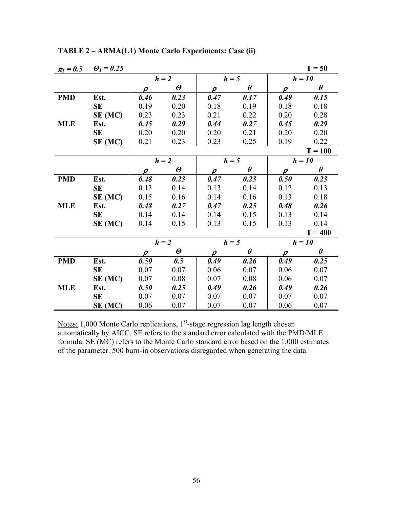| $\pi_l = 0.5$ | $\theta_1 = 0.25$ |                     |                          |         |                       |                     | $T = 50$  |
|---------------|-------------------|---------------------|--------------------------|---------|-----------------------|---------------------|-----------|
|               |                   | $h = 2$             |                          | $h = 5$ |                       |                     | $h = 10$  |
|               |                   | $\rho$              | $\boldsymbol{\theta}$    | $\rho$  | $\theta$              | $\rho$              | $\theta$  |
| <b>PMD</b>    | Est.              | 0.46                | 0.23                     | 0.47    | 0.17                  | 0.49                | 0.15      |
|               | <b>SE</b>         | 0.19                | 0.20                     | 0.18    | 0.19                  | 0.18                | 0.18      |
|               | SE (MC)           | 0.23                | 0.23                     | 0.21    | 0.22                  | 0.20                | 0.28      |
| <b>MLE</b>    | Est.              | 0.45                | 0.29                     | 0.44    | 0.27                  | 0.45                | 0.29      |
|               | <b>SE</b>         | 0.20                | 0.20                     | 0.20    | 0.21                  | 0.20                | 0.20      |
|               | SE (MC)           | 0.21                | 0.23                     | 0.23    | 0.25                  | 0.19                | 0.22      |
|               |                   |                     |                          |         |                       |                     | $T = 100$ |
|               |                   |                     | $h = 2$                  | $h = 5$ |                       |                     | $h = 10$  |
|               |                   | $\rho$              | $\boldsymbol{\varTheta}$ | $\rho$  | $\pmb{\theta}$        | $\boldsymbol{\rho}$ | $\theta$  |
| <b>PMD</b>    | Est.              | 0.48                | 0.23                     | 0.47    | 0.23                  | 0.50                | 0.23      |
|               | <b>SE</b>         | 0.13                | 0.14                     | 0.13    | 0.14                  | 0.12                | 0.13      |
|               | SE (MC)           | 0.15                | 0.16                     | 0.14    | 0.16                  | 0.13                | 0.18      |
| <b>MLE</b>    | Est.              | 0.48                | 0.27                     | 0.47    | 0.25                  | 0.48                | 0.26      |
|               | SE                | 0.14                | 0.14                     | 0.14    | 0.15                  | 0.13                | 0.14      |
|               | SE (MC)           | 0.14                | 0.15                     | 0.13    | 0.15                  | 0.13                | 0.14      |
|               |                   |                     |                          |         |                       |                     | $T = 400$ |
|               |                   |                     | $h = 2$                  | $h = 5$ |                       |                     | $h = 10$  |
|               |                   | $\boldsymbol{\rho}$ | $\boldsymbol{\varTheta}$ | $\rho$  | $\boldsymbol{\theta}$ | $\boldsymbol{\rho}$ | $\theta$  |
| <b>PMD</b>    | Est.              | 0.50                | 0.5                      | 0.49    | 0.26                  | 0.49                | 0.25      |
|               | SE                | 0.07                | 0.07                     | 0.06    | 0.07                  | 0.06                | 0.07      |
|               | SE (MC)           | 0.07                | 0.08                     | 0.07    | 0.08                  | 0.06                | 0.07      |
| <b>MLE</b>    | Est.              | 0.50                | 0.25                     | 0.49    | 0.26                  | 0.49                | 0.26      |
|               | <b>SE</b>         | 0.07                | 0.07                     | 0.07    | 0.07                  | 0.07                | 0.07      |
|               | SE (MC)           | 0.06                | 0.07                     | 0.07    | 0.07                  | 0.06                | 0.07      |

**TABLE 2 – ARMA(1,1) Monte Carlo Experiments: Case (ii)**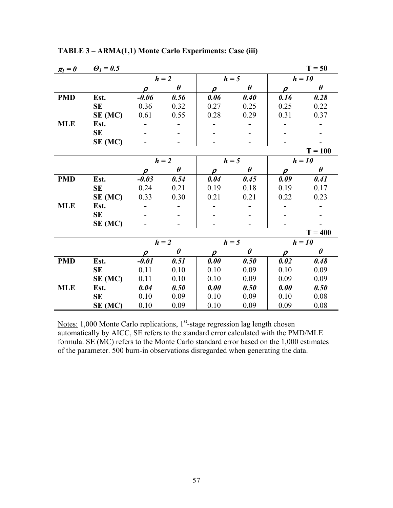| $\pi_l=0$  | $\boldsymbol{\Theta}_l = 0.5$ |                     |                       |                     |                       |                     | $T = 50$              |
|------------|-------------------------------|---------------------|-----------------------|---------------------|-----------------------|---------------------|-----------------------|
|            |                               | $h = 2$             |                       | $h = 5$             |                       | $h = 10$            |                       |
|            |                               | $\rho$              | $\theta$              | $\rho$              | $\boldsymbol{\theta}$ | $\rho$              | $\theta$              |
| <b>PMD</b> | Est.                          | $-0.06$             | 0.56                  | 0.06                | 0.40                  | 0.16                | 0.28                  |
|            | <b>SE</b>                     | 0.36                | 0.32                  | 0.27                | 0.25                  | 0.25                | 0.22                  |
|            | SE (MC)                       | 0.61                | 0.55                  | 0.28                | 0.29                  | 0.31                | 0.37                  |
| <b>MLE</b> | Est.                          |                     |                       |                     |                       |                     |                       |
|            | <b>SE</b>                     |                     |                       |                     |                       |                     |                       |
|            | SE (MC)                       |                     |                       |                     |                       |                     |                       |
|            |                               |                     |                       |                     |                       |                     | $T = 100$             |
|            |                               | $h = 2$             |                       | $h = 5$             |                       |                     | $h = 10$              |
|            |                               | $\boldsymbol{\rho}$ | $\boldsymbol{\theta}$ | $\boldsymbol{\rho}$ | $\theta$              | $\boldsymbol{\rho}$ | $\boldsymbol{\theta}$ |
| <b>PMD</b> | Est.                          | $-0.03$             | 0.54                  | 0.04                | 0.45                  | 0.09                | 0.41                  |
|            | SE                            | 0.24                | 0.21                  | 0.19                | 0.18                  | 0.19                | 0.17                  |
|            | $SE$ (MC)                     | 0.33                | 0.30                  | 0.21                | 0.21                  | 0.22                | 0.23                  |
| <b>MLE</b> | Est.                          |                     |                       |                     |                       |                     |                       |
|            | <b>SE</b>                     |                     |                       |                     |                       |                     |                       |
|            | SE (MC)                       |                     |                       |                     |                       |                     |                       |
|            |                               |                     |                       |                     |                       |                     | $T = 400$             |
|            |                               |                     | $h = 2$               | $h = 5$             |                       |                     | $h = 10$              |
|            |                               | $\boldsymbol{\rho}$ | $\boldsymbol{\theta}$ | $\boldsymbol{\rho}$ | $\boldsymbol{\theta}$ | $\boldsymbol{\rho}$ | $\theta$              |
| <b>PMD</b> | Est.                          | $-0.01$             | 0.51                  | 0.00                | 0.50                  | 0.02                | 0.48                  |
|            | SE                            | 0.11                | 0.10                  | 0.10                | 0.09                  | 0.10                | 0.09                  |
|            | SE (MC)                       | 0.11                | 0.10                  | 0.10                | 0.09                  | 0.09                | 0.09                  |
| <b>MLE</b> | Est.                          | 0.04                | 0.50                  | 0.00                | 0.50                  | 0.00                | 0.50                  |
|            | <b>SE</b>                     | 0.10                | 0.09                  | 0.10                | 0.09                  | 0.10                | 0.08                  |
|            | SE (MC)                       | 0.10                | 0.09                  | 0.10                | 0.09                  | 0.09                | 0.08                  |

**TABLE 3 – ARMA(1,1) Monte Carlo Experiments: Case (iii)**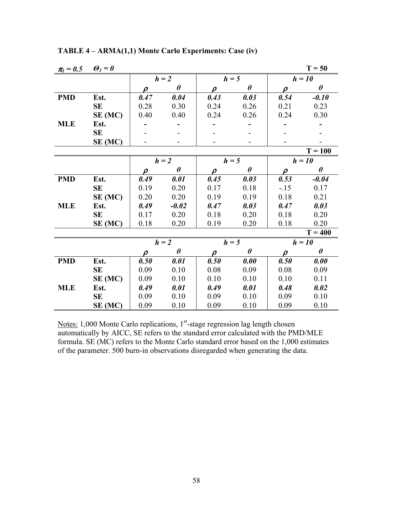| $\pi_l = 0.5$ | $\boldsymbol{\Theta}_l = \boldsymbol{\theta}$ |                     |                       |                     |                       |                     | $T = 50$              |
|---------------|-----------------------------------------------|---------------------|-----------------------|---------------------|-----------------------|---------------------|-----------------------|
|               |                                               | $h = 2$             |                       |                     | $h = 5$               |                     | $h = 10$              |
|               |                                               | $\rho$              | $\theta$              | $\rho$              | $\theta$              | $\boldsymbol{\rho}$ | $\theta$              |
| <b>PMD</b>    | Est.                                          | 0.47                | 0.04                  | 0.43                | 0.03                  | 0.54                | $-0.10$               |
|               | SE                                            | 0.28                | 0.30                  | 0.24                | 0.26                  | 0.21                | 0.23                  |
|               | SE (MC)                                       | 0.40                | 0.40                  | 0.24                | 0.26                  | 0.24                | 0.30                  |
| <b>MLE</b>    | Est.                                          |                     |                       |                     |                       |                     |                       |
|               | <b>SE</b>                                     |                     |                       |                     |                       |                     |                       |
|               | SE (MC)                                       |                     |                       |                     |                       |                     |                       |
|               |                                               |                     |                       |                     |                       |                     | $T = 100$             |
|               |                                               | $h = 2$             |                       | $h = 5$             |                       |                     | $h = 10$              |
|               |                                               | $\rho$              | $\boldsymbol{\theta}$ | $\rho$              | $\boldsymbol{\theta}$ | $\boldsymbol{\rho}$ | $\boldsymbol{\theta}$ |
| <b>PMD</b>    | Est.                                          | 0.49                | 0.01                  | 0.45                | 0.03                  | 0.53                | $-0.04$               |
|               | SE                                            | 0.19                | 0.20                  | 0.17                | 0.18                  | $-15$               | 0.17                  |
|               | SE (MC)                                       | 0.20                | 0.20                  | 0.19                | 0.19                  | 0.18                | 0.21                  |
| <b>MLE</b>    | Est.                                          | 0.49                | $-0.02$               | 0.47                | 0.03                  | 0.47                | 0.03                  |
|               | <b>SE</b>                                     | 0.17                | 0.20                  | 0.18                | 0.20                  | 0.18                | 0.20                  |
|               | SE (MC)                                       | 0.18                | 0.20                  | 0.19                | 0.20                  | 0.18                | 0.20                  |
|               |                                               |                     |                       |                     |                       |                     | $T = 400$             |
|               |                                               |                     | $h = 2$               | $h = 5$             |                       |                     | $h = 10$              |
|               |                                               | $\boldsymbol{\rho}$ | $\theta$              | $\boldsymbol{\rho}$ | $\theta$              | $\boldsymbol{\rho}$ | $\theta$              |
| <b>PMD</b>    | Est.                                          | 0.50                | 0.01                  | 0.50                | 0.00                  | 0.50                | 0.00                  |
|               | SE                                            | 0.09                | 0.10                  | 0.08                | 0.09                  | 0.08                | 0.09                  |
|               | SE (MC)                                       | 0.09                | 0.10                  | 0.10                | 0.10                  | 0.10                | 0.11                  |
| <b>MLE</b>    | Est.                                          | 0.49                | 0.01                  | 0.49                | 0.01                  | 0.48                | 0.02                  |
|               | <b>SE</b>                                     | 0.09                | 0.10                  | 0.09                | 0.10                  | 0.09                | 0.10                  |
|               | SE (MC)                                       | 0.09                | 0.10                  | 0.09                | 0.10                  | 0.09                | 0.10                  |

**TABLE 4 – ARMA(1,1) Monte Carlo Experiments: Case (iv)**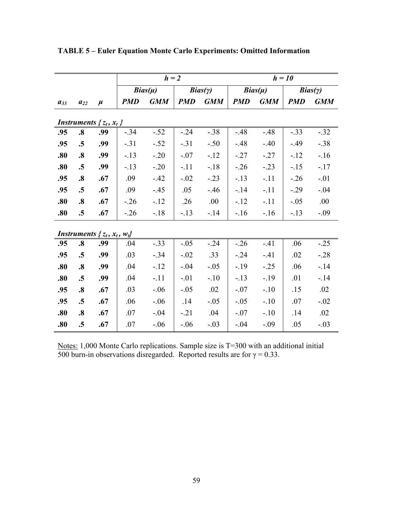|                                       |                   |       | $h = 2$     |            |            |                | $h = 10$   |             |            |            |
|---------------------------------------|-------------------|-------|-------------|------------|------------|----------------|------------|-------------|------------|------------|
|                                       |                   |       | $Bias(\mu)$ |            |            | $Bias(\gamma)$ |            | $Bias(\mu)$ |            | Bias(y)    |
| $a_{33}$                              | $a_{22}$          | $\mu$ | <b>PMD</b>  | <b>GMM</b> | <b>PMD</b> | <b>GMM</b>     | <b>PMD</b> | <b>GMM</b>  | <b>PMD</b> | <b>GMM</b> |
| <i>Instruments</i> $\{z_t, x_t\}$     |                   |       |             |            |            |                |            |             |            |            |
| .95                                   | $\boldsymbol{.8}$ | .99   | $-.34$      | $-.52$     | $-.24$     | $-.38$         | $-48$      | $-48$       | $-.33$     | $-.32$     |
| .95                                   | .5                | .99   | $-.31$      | $-.52$     | $-.31$     | $-.50$         | $-48$      | $-.40$      | $-0.49$    | $-.38$     |
| .80                                   | $\boldsymbol{.8}$ | .99   | $-.13$      | $-.20$     | $-.07$     | $-12$          | $-.27$     | $-27$       | $-12$      | $-16$      |
| .80                                   | $\cdot$ 5         | .99   | $-.13$      | $-.20$     | $-.11$     | $-18$          | $-26$      | $-.23$      | $-15$      | $-17$      |
| .95                                   | $\boldsymbol{.8}$ | .67   | .09         | $-42$      | $-.02$     | $-.23$         | $-13$      | $-.11$      | $-.26$     | $-.01$     |
| .95                                   | .5                | .67   | .09         | $-45$      | .05        | $-46$          | $-14$      | $-.11$      | $-.29$     | $-.04$     |
| .80                                   | $\boldsymbol{.8}$ | .67   | $-.26$      | $-12$      | .26        | .00            | $-12$      | $-.11$      | $-.05$     | .00        |
| .80                                   | .5                | .67   | $-.26$      | $-18$      | $-.13$     | $-14$          | $-16$      | $-16$       | $-.13$     | $-.09$     |
| Instruments { $z_t$ , $x_t$ , $w_t$ } |                   |       |             |            |            |                |            |             |            |            |
| .95                                   | $\boldsymbol{.8}$ | .99   | .04         | $-.33$     | $-.05$     | $-.24$         | $-0.26$    | $-41$       | .06        | $-.25$     |
| .95                                   | .5                | .99   | .03         | $-.34$     | $-.02$     | .33            | $-.24$     | $-41$       | .02        | $-.28$     |
| .80                                   | $\boldsymbol{.8}$ | .99   | .04         | $-12$      | $-.04$     | $-.05$         | $-19$      | $-.25$      | .06        | $-14$      |
| .80                                   | .5                | .99   | .04         | $-.11$     | $-.01$     | $-.10$         | $-.13$     | $-.19$      | .01        | $-14$      |
| .95                                   | $\boldsymbol{.8}$ | .67   | .03         | $-.06$     | $-.05$     | .02            | $-.07$     | $-.10$      | .15        | .02        |
| .95                                   | .5                | .67   | .06         | $-.06$     | .14        | $-.05$         | $-.05$     | $-.10$      | .07        | $-.02$     |
| .80                                   | $\boldsymbol{.8}$ | .67   | .07         | $-.04$     | $-.21$     | .04            | $-.07$     | $-.10$      | .14        | .02        |
| .80                                   | .5                | .67   | .07         | $-.06$     | $-.06$     | $-.03$         | $-.04$     | $-.09$      | .05        | $-.03$     |

**TABLE 5 – Euler Equation Monte Carlo Experiments: Omitted Information** 

Notes: 1,000 Monte Carlo replications. Sample size is T=300 with an additional initial 500 burn-in observations disregarded. Reported results are for  $\gamma = 0.33$ .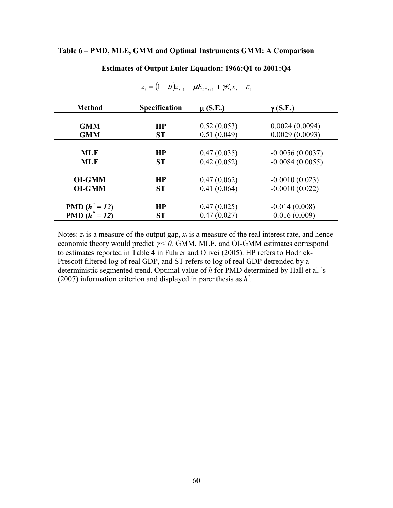#### **Table 6 – PMD, MLE, GMM and Optimal Instruments GMM: A Comparison**

#### **Estimates of Output Euler Equation: 1966:Q1 to 2001:Q4**

| <b>Method</b>                  | <b>Specification</b>   | $\mu$ (S.E.)               | $\gamma$ (S.E.)                        |
|--------------------------------|------------------------|----------------------------|----------------------------------------|
| <b>GMM</b>                     | <b>HP</b>              | 0.52(0.053)                | 0.0024(0.0094)                         |
| <b>GMM</b>                     | <b>ST</b>              | 0.51(0.049)                | 0.0029(0.0093)                         |
|                                | <b>HP</b>              |                            |                                        |
| <b>MLE</b><br><b>MLE</b>       | <b>ST</b>              | 0.47(0.035)<br>0.42(0.052) | $-0.0056(0.0037)$<br>$-0.0084(0.0055)$ |
|                                |                        |                            |                                        |
| <b>OI-GMM</b><br><b>OI-GMM</b> | <b>HP</b><br><b>ST</b> | 0.47(0.062)<br>0.41(0.064) | $-0.0010(0.023)$<br>$-0.0010(0.022)$   |
|                                |                        |                            |                                        |
| <b>PMD</b> $(h^* = 12)$        | HP                     | 0.47(0.025)                | $-0.014(0.008)$                        |
| <b>PMD</b> $(h^* = 12)$        | <b>ST</b>              | 0.47(0.027)                | $-0.016(0.009)$                        |

 $z_t = (1 - \mu) z_{t-1} + \mu E_t z_{t+1} + \gamma E_t x_t + \varepsilon_t$ 

Notes:  $z_t$  is a measure of the output gap,  $x_t$  is a measure of the real interest rate, and hence economic theory would predict  $\gamma$  < 0. GMM, MLE, and OI-GMM estimates correspond to estimates reported in Table 4 in Fuhrer and Olivei (2005). HP refers to Hodrick-Prescott filtered log of real GDP, and ST refers to log of real GDP detrended by a deterministic segmented trend. Optimal value of *h* for PMD determined by Hall et al.'s (2007) information criterion and displayed in parenthesis as *h\* .*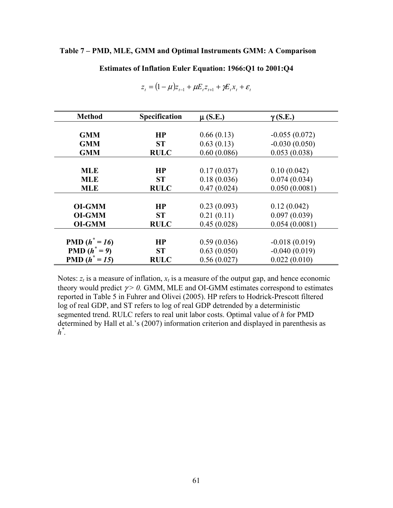#### **Table 7 – PMD, MLE, GMM and Optimal Instruments GMM: A Comparison**

**Estimates of Inflation Euler Equation: 1966:Q1 to 2001:Q4** 

| <b>Method</b>           | <b>Specification</b> | $\mu$ (S.E.) | $\gamma$ (S.E.) |
|-------------------------|----------------------|--------------|-----------------|
|                         |                      |              |                 |
| <b>GMM</b>              | HP                   | 0.66(0.13)   | $-0.055(0.072)$ |
| <b>GMM</b>              | <b>ST</b>            | 0.63(0.13)   | $-0.030(0.050)$ |
| <b>GMM</b>              | <b>RULC</b>          | 0.60(0.086)  | 0.053(0.038)    |
|                         |                      |              |                 |
| <b>MLE</b>              | HP                   | 0.17(0.037)  | 0.10(0.042)     |
| <b>MLE</b>              | <b>ST</b>            | 0.18(0.036)  | 0.074(0.034)    |
| <b>MLE</b>              | <b>RULC</b>          | 0.47(0.024)  | 0.050(0.0081)   |
|                         |                      |              |                 |
| <b>OI-GMM</b>           | HP                   | 0.23(0.093)  | 0.12(0.042)     |
| <b>OI-GMM</b>           | <b>ST</b>            | 0.21(0.11)   | 0.097(0.039)    |
| <b>OI-GMM</b>           | <b>RULC</b>          | 0.45(0.028)  | 0.054(0.0081)   |
|                         |                      |              |                 |
| <b>PMD</b> $(h^* = 16)$ | HP                   | 0.59(0.036)  | $-0.018(0.019)$ |
| <b>PMD</b> $(h^* = 9)$  | <b>ST</b>            | 0.63(0.050)  | $-0.040(0.019)$ |
| <b>PMD</b> $(h^* = 15)$ | <b>RULC</b>          | 0.56(0.027)  | 0.022(0.010)    |

$$
z_{t} = (1 - \mu)z_{t-1} + \mu E_{t} z_{t+1} + \gamma E_{t} x_{t} + \varepsilon_{t}
$$

Notes:  $z_t$  is a measure of inflation,  $x_t$  is a measure of the output gap, and hence economic theory would predict  $\gamma > 0$ . GMM, MLE and OI-GMM estimates correspond to estimates reported in Table 5 in Fuhrer and Olivei (2005). HP refers to Hodrick-Prescott filtered log of real GDP, and ST refers to log of real GDP detrended by a deterministic segmented trend. RULC refers to real unit labor costs. Optimal value of *h* for PMD determined by Hall et al.'s (2007) information criterion and displayed in parenthesis as *h\* .*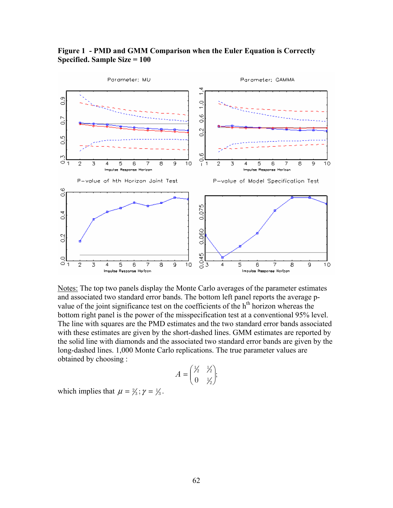

## **Figure 1 - PMD and GMM Comparison when the Euler Equation is Correctly Specified. Sample Size = 100**

Notes: The top two panels display the Monte Carlo averages of the parameter estimates and associated two standard error bands. The bottom left panel reports the average pvalue of the joint significance test on the coefficients of the  $h<sup>th</sup>$  horizon whereas the bottom right panel is the power of the misspecification test at a conventional 95% level. The line with squares are the PMD estimates and the two standard error bands associated with these estimates are given by the short-dashed lines. GMM estimates are reported by the solid line with diamonds and the associated two standard error bands are given by the long-dashed lines. 1,000 Monte Carlo replications. The true parameter values are obtained by choosing :

$$
A = \begin{pmatrix} \frac{1}{2} & \frac{1}{2} \\ 0 & \frac{1}{2} \end{pmatrix};
$$

which implies that  $\mu = \frac{2}{3}$ ;  $\gamma = \frac{1}{3}$ .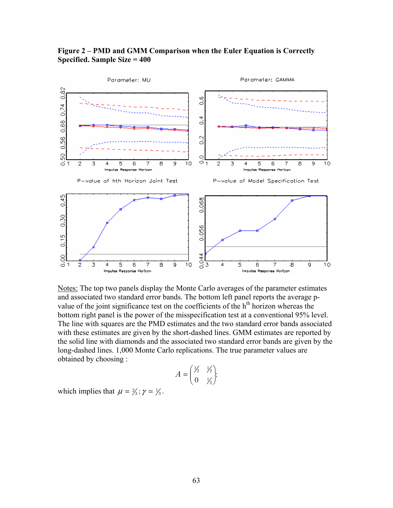

## **Figure 2 – PMD and GMM Comparison when the Euler Equation is Correctly Specified. Sample Size = 400**

Notes: The top two panels display the Monte Carlo averages of the parameter estimates and associated two standard error bands. The bottom left panel reports the average pvalue of the joint significance test on the coefficients of the  $h<sup>th</sup>$  horizon whereas the bottom right panel is the power of the misspecification test at a conventional 95% level. The line with squares are the PMD estimates and the two standard error bands associated with these estimates are given by the short-dashed lines. GMM estimates are reported by the solid line with diamonds and the associated two standard error bands are given by the long-dashed lines. 1,000 Monte Carlo replications. The true parameter values are obtained by choosing :

$$
A = \begin{pmatrix} \frac{1}{2} & \frac{1}{2} \\ 0 & \frac{1}{2} \end{pmatrix};
$$

which implies that  $\mu = \frac{2}{3}$ ;  $\gamma = \frac{1}{3}$ .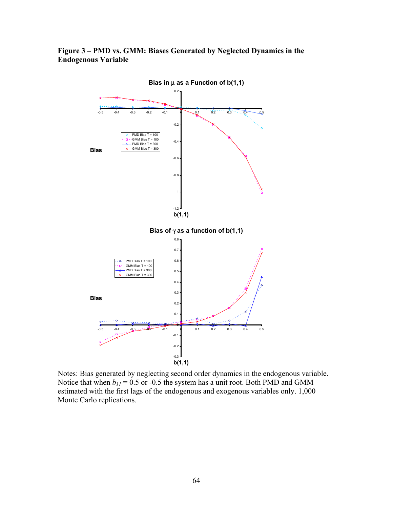## **Figure 3 – PMD vs. GMM: Biases Generated by Neglected Dynamics in the Endogenous Variable**



Notes: Bias generated by neglecting second order dynamics in the endogenous variable. Notice that when  $b_{11} = 0.5$  or -0.5 the system has a unit root. Both PMD and GMM estimated with the first lags of the endogenous and exogenous variables only. 1,000 Monte Carlo replications.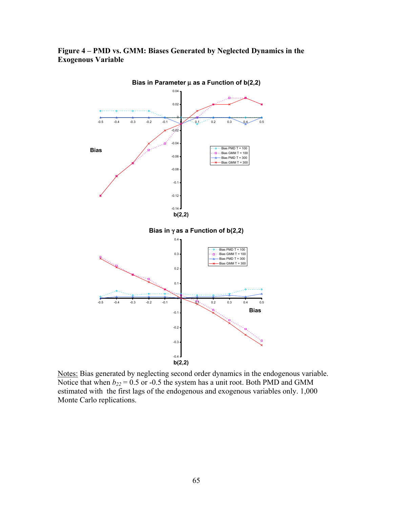## **Figure 4 – PMD vs. GMM: Biases Generated by Neglected Dynamics in the Exogenous Variable**



Notes: Bias generated by neglecting second order dynamics in the endogenous variable. Notice that when  $b_{22} = 0.5$  or -0.5 the system has a unit root. Both PMD and GMM estimated with the first lags of the endogenous and exogenous variables only. 1,000 Monte Carlo replications.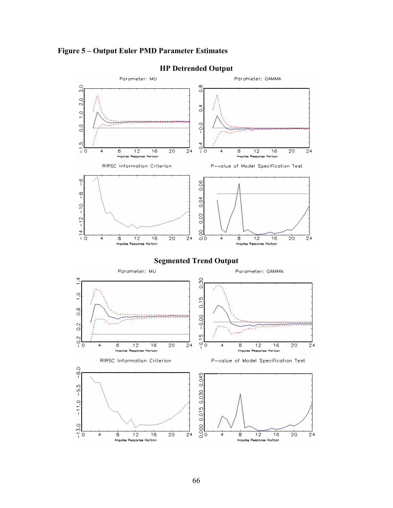



## **HP Detrended Output**